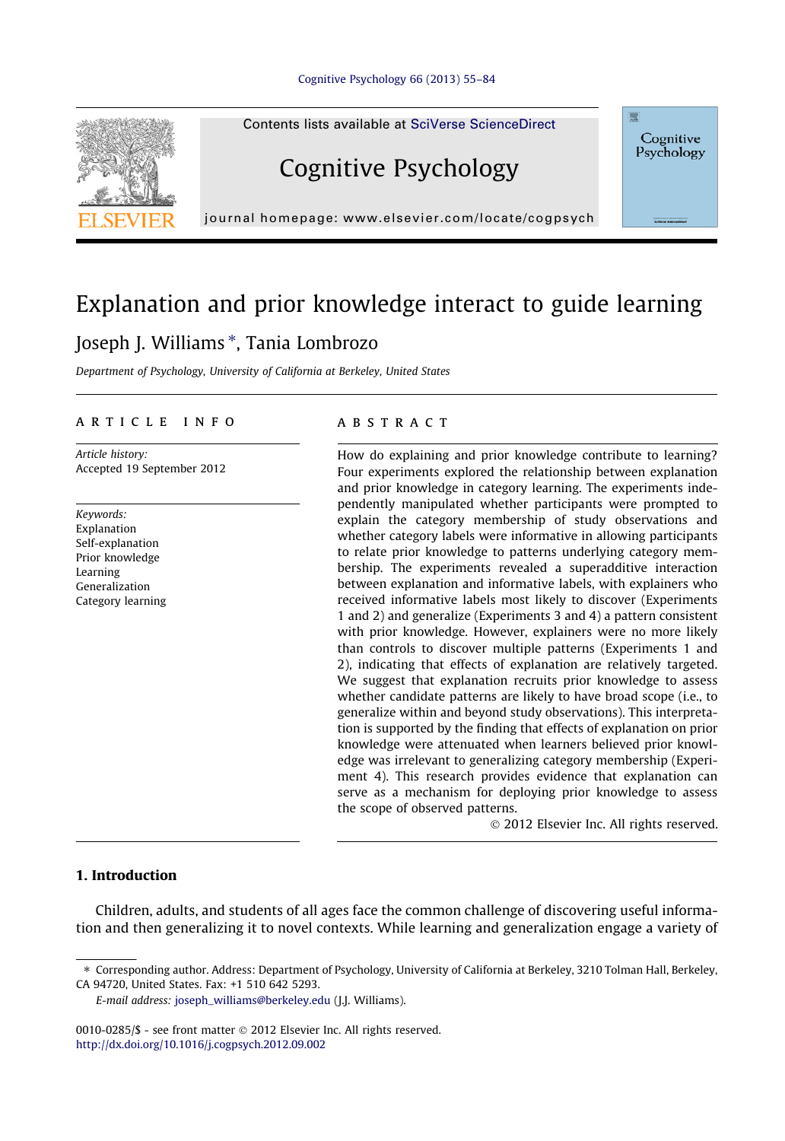

Contents lists available at [SciVerse ScienceDirect](http://www.sciencedirect.com/science/journal/00100285)

# Cognitive Psychology

journal homepage: [www.elsevier.com/locate/cogpsych](http://www.elsevier.com/locate/cogpsych)

# Explanation and prior knowledge interact to guide learning

# Joseph J. Williams \*, Tania Lombrozo

Department of Psychology, University of California at Berkeley, United States

# article info

Article history: Accepted 19 September 2012

Keywords: Explanation Self-explanation Prior knowledge Learning Generalization Category learning

# abstract

How do explaining and prior knowledge contribute to learning? Four experiments explored the relationship between explanation and prior knowledge in category learning. The experiments independently manipulated whether participants were prompted to explain the category membership of study observations and whether category labels were informative in allowing participants to relate prior knowledge to patterns underlying category membership. The experiments revealed a superadditive interaction between explanation and informative labels, with explainers who received informative labels most likely to discover (Experiments 1 and 2) and generalize (Experiments 3 and 4) a pattern consistent with prior knowledge. However, explainers were no more likely than controls to discover multiple patterns (Experiments 1 and 2), indicating that effects of explanation are relatively targeted. We suggest that explanation recruits prior knowledge to assess whether candidate patterns are likely to have broad scope (i.e., to generalize within and beyond study observations). This interpretation is supported by the finding that effects of explanation on prior knowledge were attenuated when learners believed prior knowledge was irrelevant to generalizing category membership (Experiment 4). This research provides evidence that explanation can serve as a mechanism for deploying prior knowledge to assess the scope of observed patterns.

- 2012 Elsevier Inc. All rights reserved.

丽

Cognitive Psychology

# 1. Introduction

Children, adults, and students of all ages face the common challenge of discovering useful information and then generalizing it to novel contexts. While learning and generalization engage a variety of

<sup>⇑</sup> Corresponding author. Address: Department of Psychology, University of California at Berkeley, 3210 Tolman Hall, Berkeley, CA 94720, United States. Fax: +1 510 642 5293.

E-mail address: [joseph\\_williams@berkeley.edu](mailto:joseph_williams@berkeley.edu) (J.J. Williams).

<sup>0010-0285/\$ -</sup> see front matter @ 2012 Elsevier Inc. All rights reserved. <http://dx.doi.org/10.1016/j.cogpsych.2012.09.002>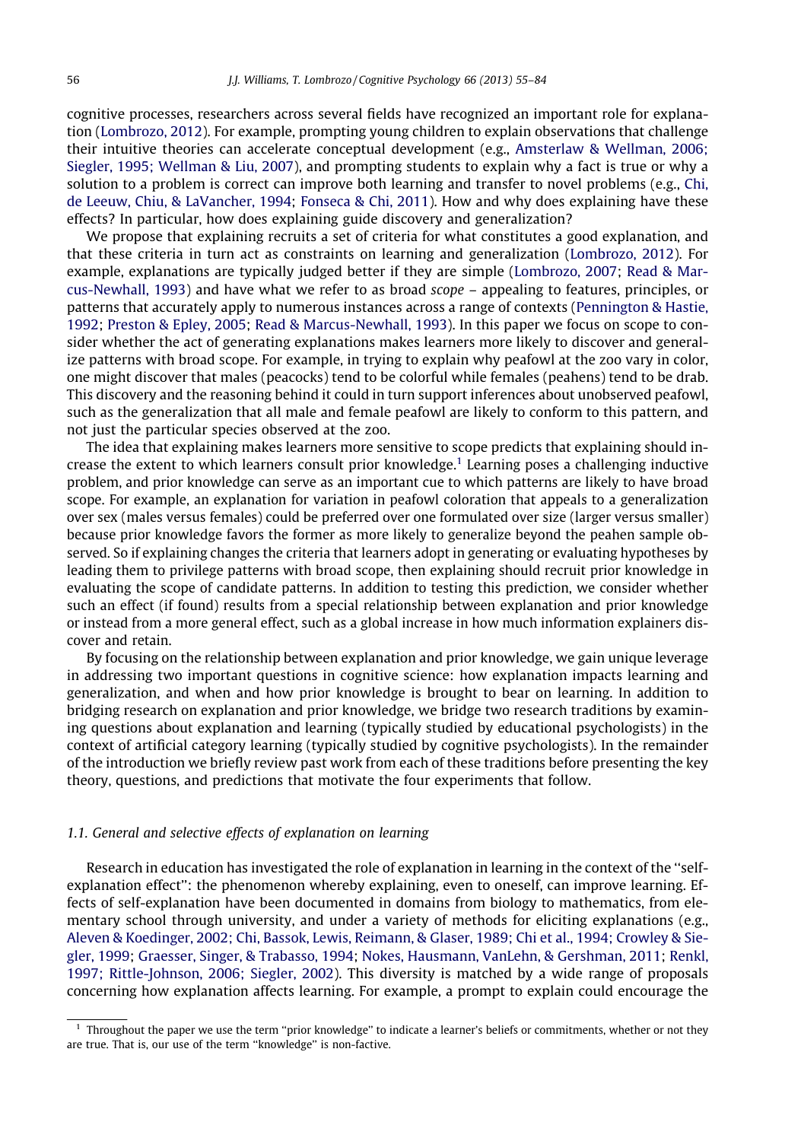cognitive processes, researchers across several fields have recognized an important role for explanation (Lombrozo, 2012). For example, prompting young children to explain observations that challenge their intuitive theories can accelerate conceptual development (e.g., [Amsterlaw & Wellman, 2006;](#page-27-0) [Siegler, 1995; Wellman & Liu, 2007](#page-27-0)), and prompting students to explain why a fact is true or why a solution to a problem is correct can improve both learning and transfer to novel problems (e.g., [Chi,](#page-27-0) [de Leeuw, Chiu, & LaVancher, 1994;](#page-27-0) [Fonseca & Chi, 2011\)](#page-27-0). How and why does explaining have these effects? In particular, how does explaining guide discovery and generalization?

We propose that explaining recruits a set of criteria for what constitutes a good explanation, and that these criteria in turn act as constraints on learning and generalization (Lombrozo, 2012). For example, explanations are typically judged better if they are simple ([Lombrozo, 2007;](#page-28-0) [Read & Mar](#page-28-0)[cus-Newhall, 1993\)](#page-28-0) and have what we refer to as broad  $scope$  – appealing to features, principles, or patterns that accurately apply to numerous instances across a range of contexts ([Pennington & Hastie,](#page-28-0) [1992;](#page-28-0) [Preston & Epley, 2005;](#page-28-0) [Read & Marcus-Newhall, 1993\)](#page-28-0). In this paper we focus on scope to consider whether the act of generating explanations makes learners more likely to discover and generalize patterns with broad scope. For example, in trying to explain why peafowl at the zoo vary in color, one might discover that males (peacocks) tend to be colorful while females (peahens) tend to be drab. This discovery and the reasoning behind it could in turn support inferences about unobserved peafowl, such as the generalization that all male and female peafowl are likely to conform to this pattern, and not just the particular species observed at the zoo.

The idea that explaining makes learners more sensitive to scope predicts that explaining should increase the extent to which learners consult prior knowledge.1 Learning poses a challenging inductive problem, and prior knowledge can serve as an important cue to which patterns are likely to have broad scope. For example, an explanation for variation in peafowl coloration that appeals to a generalization over sex (males versus females) could be preferred over one formulated over size (larger versus smaller) because prior knowledge favors the former as more likely to generalize beyond the peahen sample observed. So if explaining changes the criteria that learners adopt in generating or evaluating hypotheses by leading them to privilege patterns with broad scope, then explaining should recruit prior knowledge in evaluating the scope of candidate patterns. In addition to testing this prediction, we consider whether such an effect (if found) results from a special relationship between explanation and prior knowledge or instead from a more general effect, such as a global increase in how much information explainers discover and retain.

By focusing on the relationship between explanation and prior knowledge, we gain unique leverage in addressing two important questions in cognitive science: how explanation impacts learning and generalization, and when and how prior knowledge is brought to bear on learning. In addition to bridging research on explanation and prior knowledge, we bridge two research traditions by examining questions about explanation and learning (typically studied by educational psychologists) in the context of artificial category learning (typically studied by cognitive psychologists). In the remainder of the introduction we briefly review past work from each of these traditions before presenting the key theory, questions, and predictions that motivate the four experiments that follow.

## 1.1. General and selective effects of explanation on learning

Research in education has investigated the role of explanation in learning in the context of the ''selfexplanation effect'': the phenomenon whereby explaining, even to oneself, can improve learning. Effects of self-explanation have been documented in domains from biology to mathematics, from elementary school through university, and under a variety of methods for eliciting explanations (e.g., [Aleven & Koedinger, 2002; Chi, Bassok, Lewis, Reimann, & Glaser, 1989; Chi et al., 1994; Crowley & Sie](#page-27-0)[gler, 1999](#page-27-0); [Graesser, Singer, & Trabasso, 1994;](#page-28-0) [Nokes, Hausmann, VanLehn, & Gershman, 2011](#page-28-0); [Renkl,](#page-29-0) [1997; Rittle-Johnson, 2006; Siegler, 2002](#page-29-0)). This diversity is matched by a wide range of proposals concerning how explanation affects learning. For example, a prompt to explain could encourage the

 $<sup>1</sup>$  Throughout the paper we use the term "prior knowledge" to indicate a learner's beliefs or commitments, whether or not they</sup> are true. That is, our use of the term ''knowledge'' is non-factive.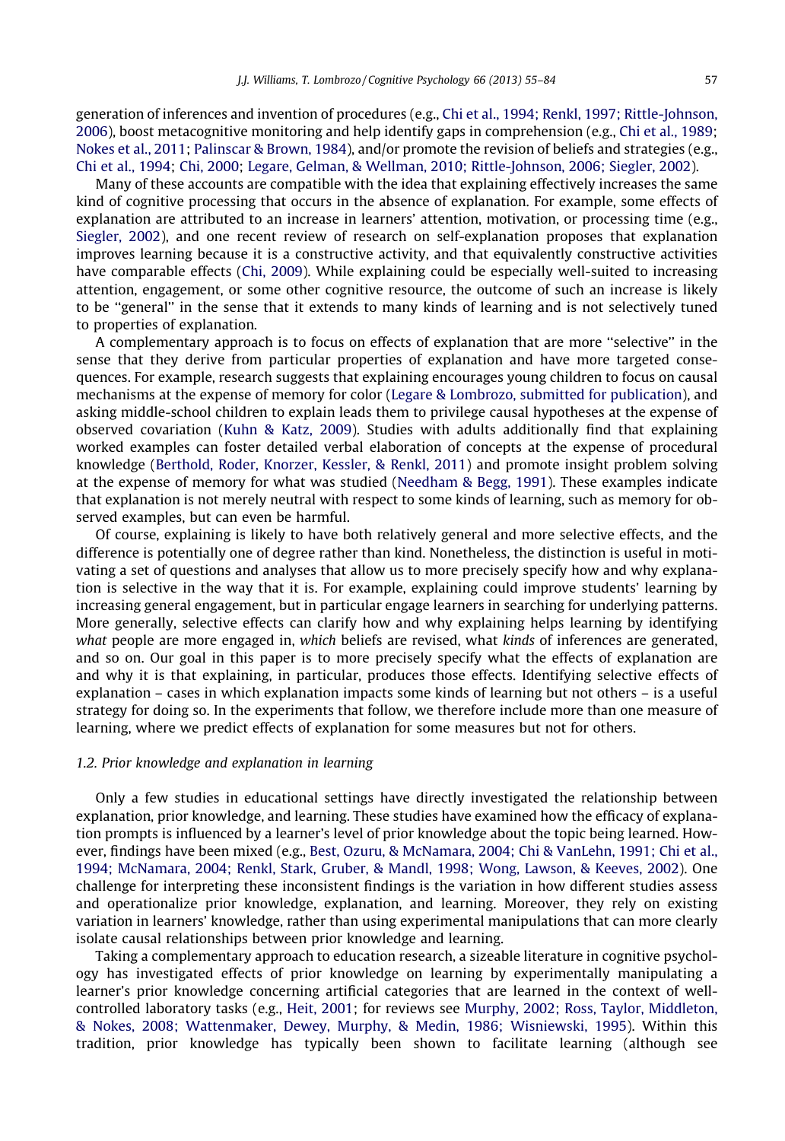generation of inferences and invention of procedures (e.g., [Chi et al., 1994; Renkl, 1997; Rittle-Johnson,](#page-27-0) [2006](#page-27-0)), boost metacognitive monitoring and help identify gaps in comprehension (e.g., [Chi et al., 1989](#page-27-0); [Nokes et al., 2011;](#page-28-0) [Palinscar & Brown, 1984\)](#page-28-0), and/or promote the revision of beliefs and strategies (e.g., [Chi et al., 1994;](#page-27-0) [Chi, 2000](#page-27-0); [Legare, Gelman, & Wellman, 2010; Rittle-Johnson, 2006; Siegler, 2002\)](#page-28-0).

Many of these accounts are compatible with the idea that explaining effectively increases the same kind of cognitive processing that occurs in the absence of explanation. For example, some effects of explanation are attributed to an increase in learners' attention, motivation, or processing time (e.g., [Siegler, 2002\)](#page-29-0), and one recent review of research on self-explanation proposes that explanation improves learning because it is a constructive activity, and that equivalently constructive activities have comparable effects [\(Chi, 2009](#page-27-0)). While explaining could be especially well-suited to increasing attention, engagement, or some other cognitive resource, the outcome of such an increase is likely to be ''general'' in the sense that it extends to many kinds of learning and is not selectively tuned to properties of explanation.

A complementary approach is to focus on effects of explanation that are more ''selective'' in the sense that they derive from particular properties of explanation and have more targeted consequences. For example, research suggests that explaining encourages young children to focus on causal mechanisms at the expense of memory for color [\(Legare & Lombrozo, submitted for publication\)](#page-28-0), and asking middle-school children to explain leads them to privilege causal hypotheses at the expense of observed covariation [\(Kuhn & Katz, 2009\)](#page-28-0). Studies with adults additionally find that explaining worked examples can foster detailed verbal elaboration of concepts at the expense of procedural knowledge ([Berthold, Roder, Knorzer, Kessler, & Renkl, 2011](#page-27-0)) and promote insight problem solving at the expense of memory for what was studied ([Needham & Begg, 1991](#page-28-0)). These examples indicate that explanation is not merely neutral with respect to some kinds of learning, such as memory for observed examples, but can even be harmful.

Of course, explaining is likely to have both relatively general and more selective effects, and the difference is potentially one of degree rather than kind. Nonetheless, the distinction is useful in motivating a set of questions and analyses that allow us to more precisely specify how and why explanation is selective in the way that it is. For example, explaining could improve students' learning by increasing general engagement, but in particular engage learners in searching for underlying patterns. More generally, selective effects can clarify how and why explaining helps learning by identifying what people are more engaged in, which beliefs are revised, what kinds of inferences are generated, and so on. Our goal in this paper is to more precisely specify what the effects of explanation are and why it is that explaining, in particular, produces those effects. Identifying selective effects of explanation – cases in which explanation impacts some kinds of learning but not others – is a useful strategy for doing so. In the experiments that follow, we therefore include more than one measure of learning, where we predict effects of explanation for some measures but not for others.

# 1.2. Prior knowledge and explanation in learning

Only a few studies in educational settings have directly investigated the relationship between explanation, prior knowledge, and learning. These studies have examined how the efficacy of explanation prompts is influenced by a learner's level of prior knowledge about the topic being learned. However, findings have been mixed (e.g., [Best, Ozuru, & McNamara, 2004; Chi & VanLehn, 1991; Chi et al.,](#page-27-0) [1994; McNamara, 2004; Renkl, Stark, Gruber, & Mandl, 1998; Wong, Lawson, & Keeves, 2002\)](#page-27-0). One challenge for interpreting these inconsistent findings is the variation in how different studies assess and operationalize prior knowledge, explanation, and learning. Moreover, they rely on existing variation in learners' knowledge, rather than using experimental manipulations that can more clearly isolate causal relationships between prior knowledge and learning.

Taking a complementary approach to education research, a sizeable literature in cognitive psychology has investigated effects of prior knowledge on learning by experimentally manipulating a learner's prior knowledge concerning artificial categories that are learned in the context of wellcontrolled laboratory tasks (e.g., [Heit, 2001;](#page-28-0) for reviews see [Murphy, 2002; Ross, Taylor, Middleton,](#page-28-0) [& Nokes, 2008; Wattenmaker, Dewey, Murphy, & Medin, 1986; Wisniewski, 1995\)](#page-28-0). Within this tradition, prior knowledge has typically been shown to facilitate learning (although see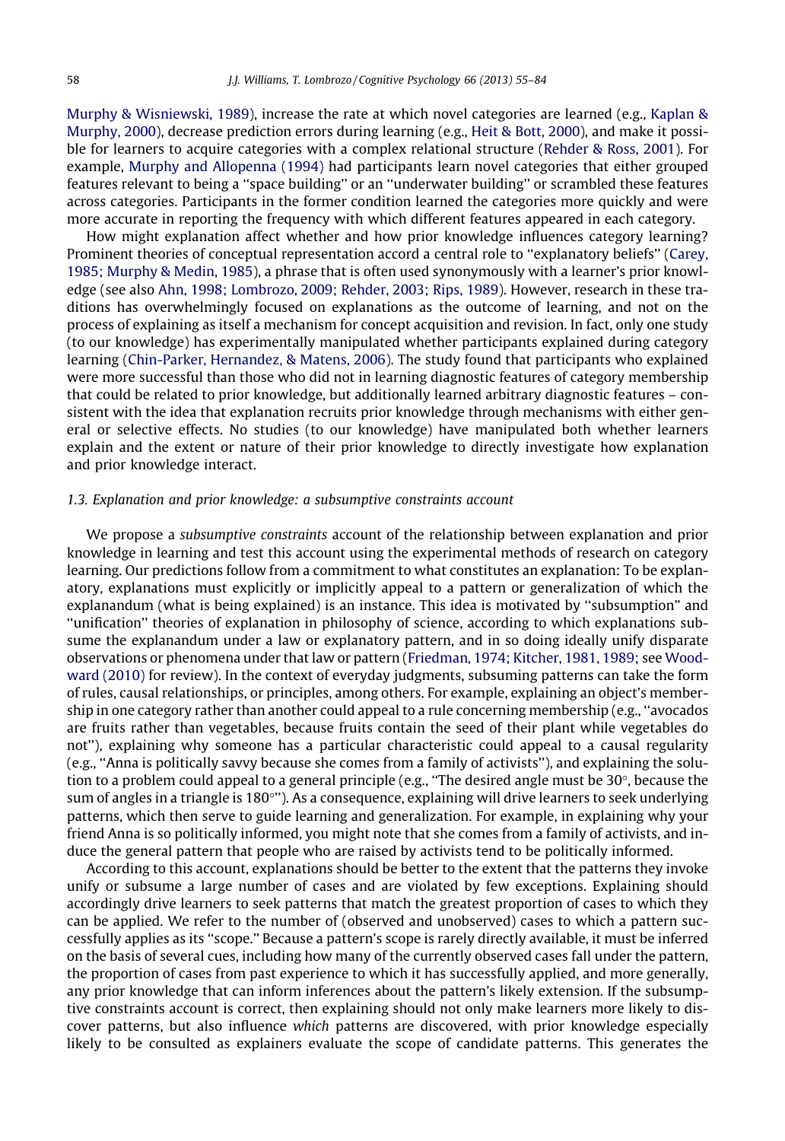[Murphy & Wisniewski, 1989\)](#page-28-0), increase the rate at which novel categories are learned (e.g., [Kaplan &](#page-28-0) [Murphy, 2000\)](#page-28-0), decrease prediction errors during learning (e.g., [Heit & Bott, 2000\)](#page-28-0), and make it possible for learners to acquire categories with a complex relational structure [\(Rehder & Ross, 2001\)](#page-29-0). For example, [Murphy and Allopenna \(1994\)](#page-28-0) had participants learn novel categories that either grouped features relevant to being a ''space building'' or an ''underwater building'' or scrambled these features across categories. Participants in the former condition learned the categories more quickly and were more accurate in reporting the frequency with which different features appeared in each category.

How might explanation affect whether and how prior knowledge influences category learning? Prominent theories of conceptual representation accord a central role to ''explanatory beliefs'' [\(Carey,](#page-27-0) [1985; Murphy & Medin, 1985\)](#page-27-0), a phrase that is often used synonymously with a learner's prior knowledge (see also [Ahn, 1998; Lombrozo, 2009; Rehder, 2003; Rips, 1989](#page-27-0)). However, research in these traditions has overwhelmingly focused on explanations as the outcome of learning, and not on the process of explaining as itself a mechanism for concept acquisition and revision. In fact, only one study (to our knowledge) has experimentally manipulated whether participants explained during category learning [\(Chin-Parker, Hernandez, & Matens, 2006\)](#page-27-0). The study found that participants who explained were more successful than those who did not in learning diagnostic features of category membership that could be related to prior knowledge, but additionally learned arbitrary diagnostic features – consistent with the idea that explanation recruits prior knowledge through mechanisms with either general or selective effects. No studies (to our knowledge) have manipulated both whether learners explain and the extent or nature of their prior knowledge to directly investigate how explanation and prior knowledge interact.

### 1.3. Explanation and prior knowledge: a subsumptive constraints account

We propose a subsumptive constraints account of the relationship between explanation and prior knowledge in learning and test this account using the experimental methods of research on category learning. Our predictions follow from a commitment to what constitutes an explanation: To be explanatory, explanations must explicitly or implicitly appeal to a pattern or generalization of which the explanandum (what is being explained) is an instance. This idea is motivated by ''subsumption'' and ''unification'' theories of explanation in philosophy of science, according to which explanations subsume the explanandum under a law or explanatory pattern, and in so doing ideally unify disparate observations or phenomena under that law or pattern [\(Friedman, 1974; Kitcher, 1981, 1989](#page-27-0); see [Wood](#page-29-0)[ward \(2010\)](#page-29-0) for review). In the context of everyday judgments, subsuming patterns can take the form of rules, causal relationships, or principles, among others. For example, explaining an object's membership in one category rather than another could appeal to a rule concerning membership (e.g., ''avocados are fruits rather than vegetables, because fruits contain the seed of their plant while vegetables do not''), explaining why someone has a particular characteristic could appeal to a causal regularity (e.g., ''Anna is politically savvy because she comes from a family of activists''), and explaining the solution to a problem could appeal to a general principle (e.g., "The desired angle must be  $30^{\circ}$ , because the sum of angles in a triangle is 180''). As a consequence, explaining will drive learners to seek underlying patterns, which then serve to guide learning and generalization. For example, in explaining why your friend Anna is so politically informed, you might note that she comes from a family of activists, and induce the general pattern that people who are raised by activists tend to be politically informed.

According to this account, explanations should be better to the extent that the patterns they invoke unify or subsume a large number of cases and are violated by few exceptions. Explaining should accordingly drive learners to seek patterns that match the greatest proportion of cases to which they can be applied. We refer to the number of (observed and unobserved) cases to which a pattern successfully applies as its ''scope.'' Because a pattern's scope is rarely directly available, it must be inferred on the basis of several cues, including how many of the currently observed cases fall under the pattern, the proportion of cases from past experience to which it has successfully applied, and more generally, any prior knowledge that can inform inferences about the pattern's likely extension. If the subsumptive constraints account is correct, then explaining should not only make learners more likely to discover patterns, but also influence which patterns are discovered, with prior knowledge especially likely to be consulted as explainers evaluate the scope of candidate patterns. This generates the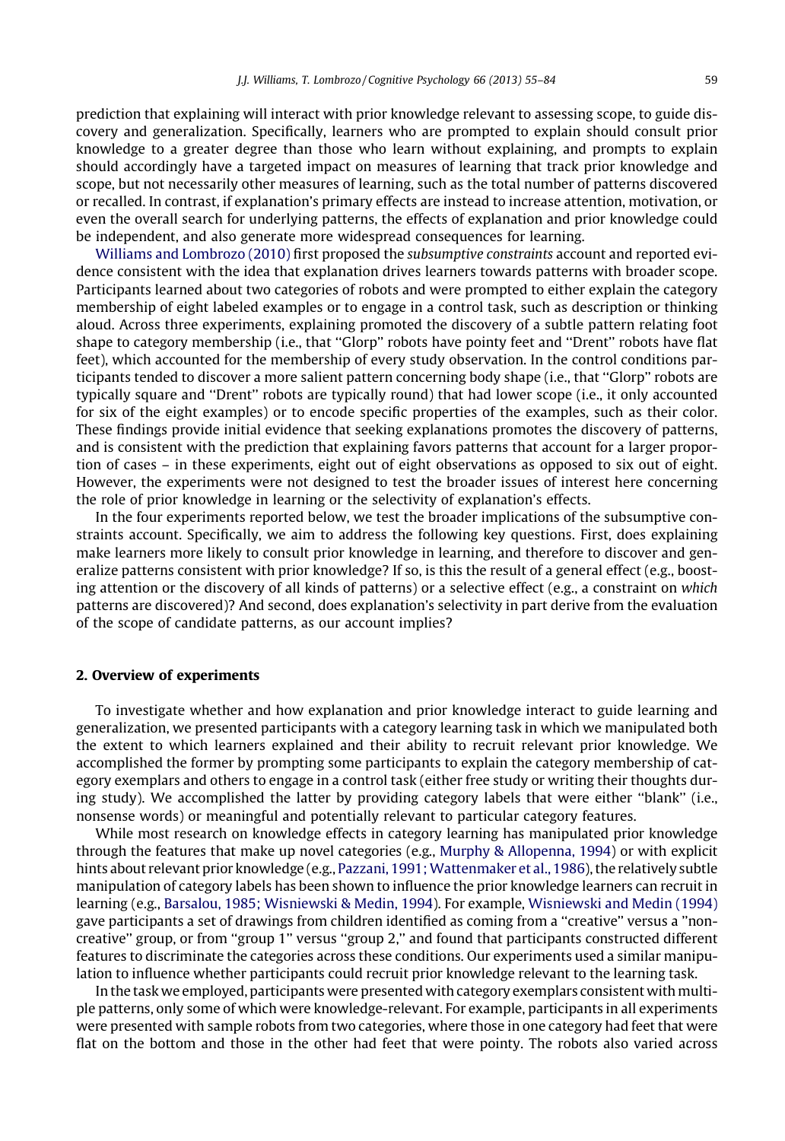prediction that explaining will interact with prior knowledge relevant to assessing scope, to guide discovery and generalization. Specifically, learners who are prompted to explain should consult prior knowledge to a greater degree than those who learn without explaining, and prompts to explain should accordingly have a targeted impact on measures of learning that track prior knowledge and scope, but not necessarily other measures of learning, such as the total number of patterns discovered or recalled. In contrast, if explanation's primary effects are instead to increase attention, motivation, or even the overall search for underlying patterns, the effects of explanation and prior knowledge could be independent, and also generate more widespread consequences for learning.

[Williams and Lombrozo \(2010\)](#page-29-0) first proposed the subsumptive constraints account and reported evidence consistent with the idea that explanation drives learners towards patterns with broader scope. Participants learned about two categories of robots and were prompted to either explain the category membership of eight labeled examples or to engage in a control task, such as description or thinking aloud. Across three experiments, explaining promoted the discovery of a subtle pattern relating foot shape to category membership (i.e., that ''Glorp'' robots have pointy feet and ''Drent'' robots have flat feet), which accounted for the membership of every study observation. In the control conditions participants tended to discover a more salient pattern concerning body shape (i.e., that ''Glorp'' robots are typically square and ''Drent'' robots are typically round) that had lower scope (i.e., it only accounted for six of the eight examples) or to encode specific properties of the examples, such as their color. These findings provide initial evidence that seeking explanations promotes the discovery of patterns, and is consistent with the prediction that explaining favors patterns that account for a larger proportion of cases – in these experiments, eight out of eight observations as opposed to six out of eight. However, the experiments were not designed to test the broader issues of interest here concerning the role of prior knowledge in learning or the selectivity of explanation's effects.

In the four experiments reported below, we test the broader implications of the subsumptive constraints account. Specifically, we aim to address the following key questions. First, does explaining make learners more likely to consult prior knowledge in learning, and therefore to discover and generalize patterns consistent with prior knowledge? If so, is this the result of a general effect (e.g., boosting attention or the discovery of all kinds of patterns) or a selective effect (e.g., a constraint on which patterns are discovered)? And second, does explanation's selectivity in part derive from the evaluation of the scope of candidate patterns, as our account implies?

# 2. Overview of experiments

To investigate whether and how explanation and prior knowledge interact to guide learning and generalization, we presented participants with a category learning task in which we manipulated both the extent to which learners explained and their ability to recruit relevant prior knowledge. We accomplished the former by prompting some participants to explain the category membership of category exemplars and others to engage in a control task (either free study or writing their thoughts during study). We accomplished the latter by providing category labels that were either ''blank'' (i.e., nonsense words) or meaningful and potentially relevant to particular category features.

While most research on knowledge effects in category learning has manipulated prior knowledge through the features that make up novel categories (e.g., [Murphy & Allopenna, 1994](#page-28-0)) or with explicit hints about relevant prior knowledge (e.g., Pazzani, 1991; Wattenmaker et al., 1986), the relatively subtle manipulation of category labels has been shown to influence the prior knowledge learners can recruit in learning (e.g., [Barsalou, 1985; Wisniewski & Medin, 1994](#page-27-0)). For example, [Wisniewski and Medin \(1994\)](#page-29-0) gave participants a set of drawings from children identified as coming from a ''creative'' versus a ''noncreative'' group, or from ''group 1'' versus ''group 2,'' and found that participants constructed different features to discriminate the categories across these conditions. Our experiments used a similar manipulation to influence whether participants could recruit prior knowledge relevant to the learning task.

In the task we employed, participants were presented with category exemplars consistent with multiple patterns, only some of which were knowledge-relevant. For example, participants in all experiments were presented with sample robots from two categories, where those in one category had feet that were flat on the bottom and those in the other had feet that were pointy. The robots also varied across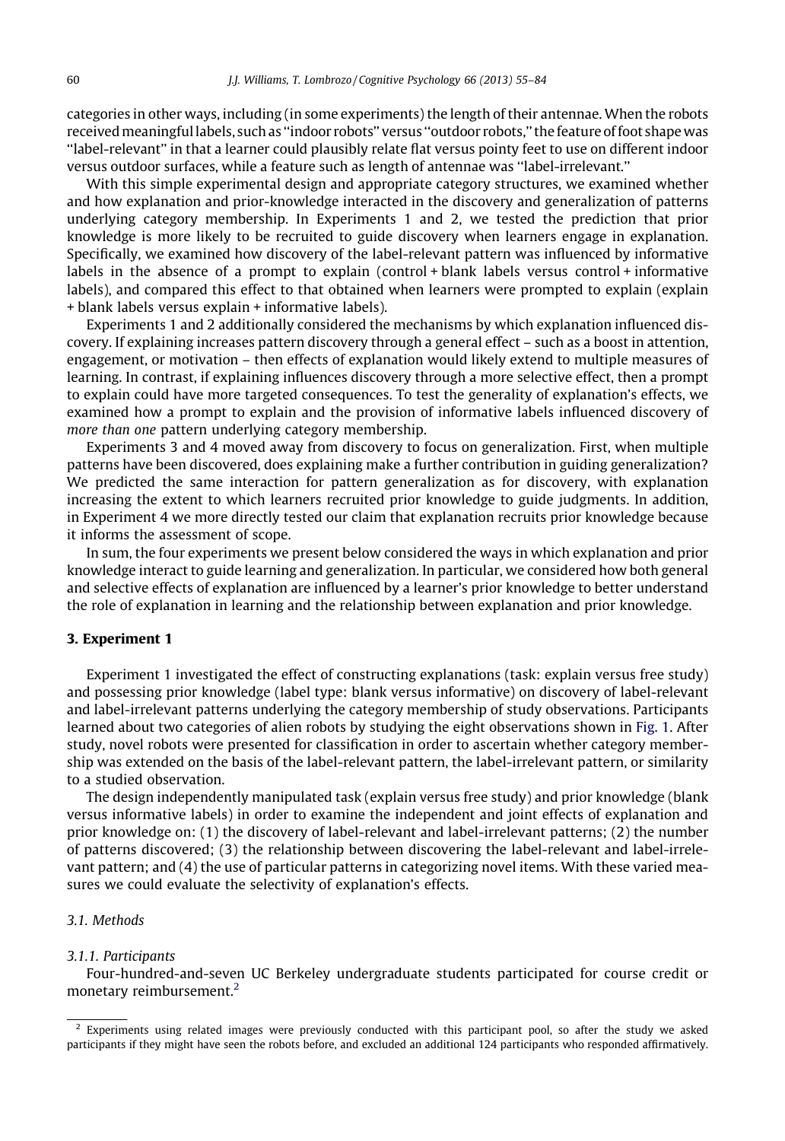categories in other ways, including (in some experiments) the length of their antennae. When the robots receivedmeaningful labels, such as ''indoor robots'' versus ''outdoor robots,'' the feature of foot shape was ''label-relevant'' in that a learner could plausibly relate flat versus pointy feet to use on different indoor versus outdoor surfaces, while a feature such as length of antennae was ''label-irrelevant.''

With this simple experimental design and appropriate category structures, we examined whether and how explanation and prior-knowledge interacted in the discovery and generalization of patterns underlying category membership. In Experiments 1 and 2, we tested the prediction that prior knowledge is more likely to be recruited to guide discovery when learners engage in explanation. Specifically, we examined how discovery of the label-relevant pattern was influenced by informative labels in the absence of a prompt to explain (control + blank labels versus control + informative labels), and compared this effect to that obtained when learners were prompted to explain (explain + blank labels versus explain + informative labels).

Experiments 1 and 2 additionally considered the mechanisms by which explanation influenced discovery. If explaining increases pattern discovery through a general effect – such as a boost in attention, engagement, or motivation – then effects of explanation would likely extend to multiple measures of learning. In contrast, if explaining influences discovery through a more selective effect, then a prompt to explain could have more targeted consequences. To test the generality of explanation's effects, we examined how a prompt to explain and the provision of informative labels influenced discovery of more than one pattern underlying category membership.

Experiments 3 and 4 moved away from discovery to focus on generalization. First, when multiple patterns have been discovered, does explaining make a further contribution in guiding generalization? We predicted the same interaction for pattern generalization as for discovery, with explanation increasing the extent to which learners recruited prior knowledge to guide judgments. In addition, in Experiment 4 we more directly tested our claim that explanation recruits prior knowledge because it informs the assessment of scope.

In sum, the four experiments we present below considered the ways in which explanation and prior knowledge interact to guide learning and generalization. In particular, we considered how both general and selective effects of explanation are influenced by a learner's prior knowledge to better understand the role of explanation in learning and the relationship between explanation and prior knowledge.

# 3. Experiment 1

Experiment 1 investigated the effect of constructing explanations (task: explain versus free study) and possessing prior knowledge (label type: blank versus informative) on discovery of label-relevant and label-irrelevant patterns underlying the category membership of study observations. Participants learned about two categories of alien robots by studying the eight observations shown in [Fig. 1](#page-6-0). After study, novel robots were presented for classification in order to ascertain whether category membership was extended on the basis of the label-relevant pattern, the label-irrelevant pattern, or similarity to a studied observation.

The design independently manipulated task (explain versus free study) and prior knowledge (blank versus informative labels) in order to examine the independent and joint effects of explanation and prior knowledge on: (1) the discovery of label-relevant and label-irrelevant patterns; (2) the number of patterns discovered; (3) the relationship between discovering the label-relevant and label-irrelevant pattern; and (4) the use of particular patterns in categorizing novel items. With these varied measures we could evaluate the selectivity of explanation's effects.

# 3.1. Methods

### 3.1.1. Participants

Four-hundred-and-seven UC Berkeley undergraduate students participated for course credit or monetary reimbursement.<sup>2</sup>

<sup>2</sup> Experiments using related images were previously conducted with this participant pool, so after the study we asked participants if they might have seen the robots before, and excluded an additional 124 participants who responded affirmatively.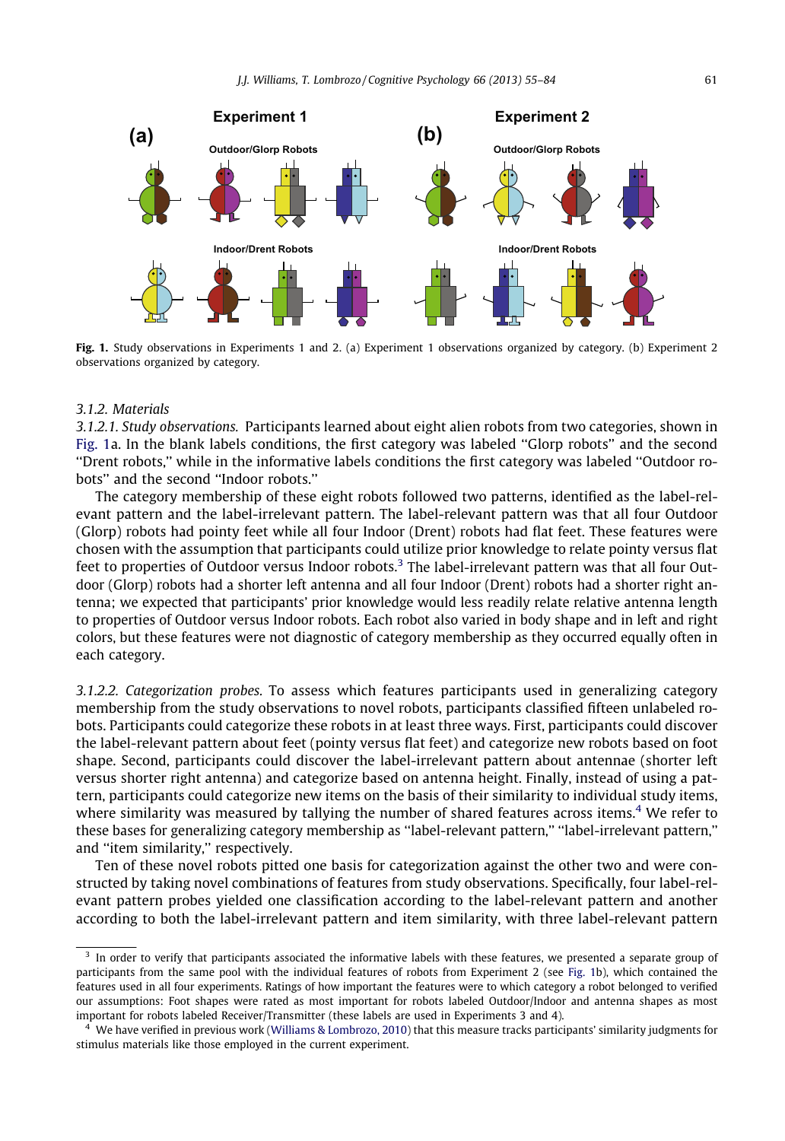<span id="page-6-0"></span>

Fig. 1. Study observations in Experiments 1 and 2. (a) Experiment 1 observations organized by category. (b) Experiment 2 observations organized by category.

# 3.1.2. Materials

3.1.2.1. Study observations. Participants learned about eight alien robots from two categories, shown in Fig. 1a. In the blank labels conditions, the first category was labeled ''Glorp robots'' and the second ''Drent robots,'' while in the informative labels conditions the first category was labeled ''Outdoor robots'' and the second ''Indoor robots.''

The category membership of these eight robots followed two patterns, identified as the label-relevant pattern and the label-irrelevant pattern. The label-relevant pattern was that all four Outdoor (Glorp) robots had pointy feet while all four Indoor (Drent) robots had flat feet. These features were chosen with the assumption that participants could utilize prior knowledge to relate pointy versus flat feet to properties of Outdoor versus Indoor robots.<sup>3</sup> The label-irrelevant pattern was that all four Outdoor (Glorp) robots had a shorter left antenna and all four Indoor (Drent) robots had a shorter right antenna; we expected that participants' prior knowledge would less readily relate relative antenna length to properties of Outdoor versus Indoor robots. Each robot also varied in body shape and in left and right colors, but these features were not diagnostic of category membership as they occurred equally often in each category.

3.1.2.2. Categorization probes. To assess which features participants used in generalizing category membership from the study observations to novel robots, participants classified fifteen unlabeled robots. Participants could categorize these robots in at least three ways. First, participants could discover the label-relevant pattern about feet (pointy versus flat feet) and categorize new robots based on foot shape. Second, participants could discover the label-irrelevant pattern about antennae (shorter left versus shorter right antenna) and categorize based on antenna height. Finally, instead of using a pattern, participants could categorize new items on the basis of their similarity to individual study items, where similarity was measured by tallying the number of shared features across items.<sup>4</sup> We refer to these bases for generalizing category membership as ''label-relevant pattern,'' ''label-irrelevant pattern,'' and ''item similarity,'' respectively.

Ten of these novel robots pitted one basis for categorization against the other two and were constructed by taking novel combinations of features from study observations. Specifically, four label-relevant pattern probes yielded one classification according to the label-relevant pattern and another according to both the label-irrelevant pattern and item similarity, with three label-relevant pattern

In order to verify that participants associated the informative labels with these features, we presented a separate group of participants from the same pool with the individual features of robots from Experiment 2 (see Fig. 1b), which contained the features used in all four experiments. Ratings of how important the features were to which category a robot belonged to verified our assumptions: Foot shapes were rated as most important for robots labeled Outdoor/Indoor and antenna shapes as most important for robots labeled Receiver/Transmitter (these labels are used in Experiments 3 and 4).

<sup>4</sup> We have verified in previous work ([Williams & Lombrozo, 2010\)](#page-29-0) that this measure tracks participants' similarity judgments for stimulus materials like those employed in the current experiment.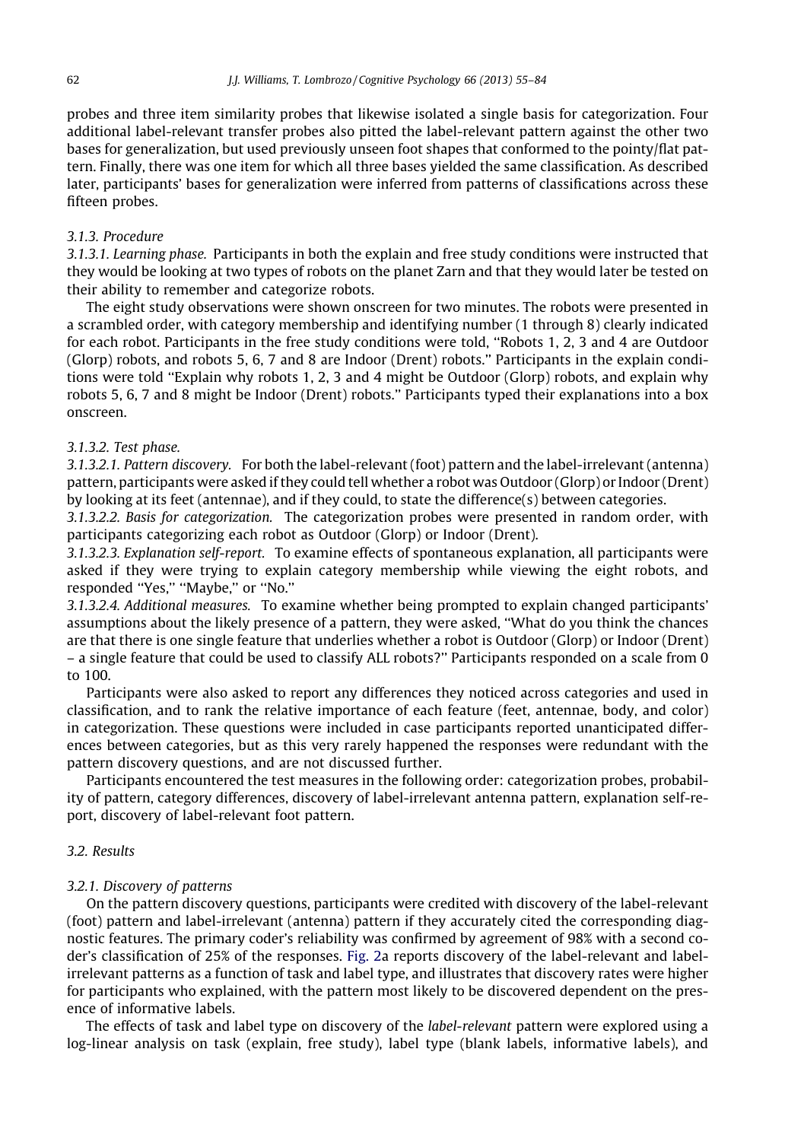probes and three item similarity probes that likewise isolated a single basis for categorization. Four additional label-relevant transfer probes also pitted the label-relevant pattern against the other two bases for generalization, but used previously unseen foot shapes that conformed to the pointy/flat pattern. Finally, there was one item for which all three bases yielded the same classification. As described later, participants' bases for generalization were inferred from patterns of classifications across these fifteen probes.

# 3.1.3. Procedure

3.1.3.1. Learning phase. Participants in both the explain and free study conditions were instructed that they would be looking at two types of robots on the planet Zarn and that they would later be tested on their ability to remember and categorize robots.

The eight study observations were shown onscreen for two minutes. The robots were presented in a scrambled order, with category membership and identifying number (1 through 8) clearly indicated for each robot. Participants in the free study conditions were told, ''Robots 1, 2, 3 and 4 are Outdoor (Glorp) robots, and robots 5, 6, 7 and 8 are Indoor (Drent) robots.'' Participants in the explain conditions were told ''Explain why robots 1, 2, 3 and 4 might be Outdoor (Glorp) robots, and explain why robots 5, 6, 7 and 8 might be Indoor (Drent) robots.'' Participants typed their explanations into a box onscreen.

# 3.1.3.2. Test phase.

3.1.3.2.1. Pattern discovery. For both the label-relevant (foot) pattern and the label-irrelevant (antenna) pattern, participants were asked if they could tell whether a robot was Outdoor (Glorp) or Indoor (Drent) by looking at its feet (antennae), and if they could, to state the difference(s) between categories.

3.1.3.2.2. Basis for categorization. The categorization probes were presented in random order, with participants categorizing each robot as Outdoor (Glorp) or Indoor (Drent).

3.1.3.2.3. Explanation self-report. To examine effects of spontaneous explanation, all participants were asked if they were trying to explain category membership while viewing the eight robots, and responded ''Yes,'' ''Maybe,'' or ''No.''

3.1.3.2.4. Additional measures. To examine whether being prompted to explain changed participants' assumptions about the likely presence of a pattern, they were asked, ''What do you think the chances are that there is one single feature that underlies whether a robot is Outdoor (Glorp) or Indoor (Drent) – a single feature that could be used to classify ALL robots?'' Participants responded on a scale from 0 to 100.

Participants were also asked to report any differences they noticed across categories and used in classification, and to rank the relative importance of each feature (feet, antennae, body, and color) in categorization. These questions were included in case participants reported unanticipated differences between categories, but as this very rarely happened the responses were redundant with the pattern discovery questions, and are not discussed further.

Participants encountered the test measures in the following order: categorization probes, probability of pattern, category differences, discovery of label-irrelevant antenna pattern, explanation self-report, discovery of label-relevant foot pattern.

# 3.2. Results

# 3.2.1. Discovery of patterns

On the pattern discovery questions, participants were credited with discovery of the label-relevant (foot) pattern and label-irrelevant (antenna) pattern if they accurately cited the corresponding diagnostic features. The primary coder's reliability was confirmed by agreement of 98% with a second coder's classification of 25% of the responses. [Fig. 2a](#page-8-0) reports discovery of the label-relevant and labelirrelevant patterns as a function of task and label type, and illustrates that discovery rates were higher for participants who explained, with the pattern most likely to be discovered dependent on the presence of informative labels.

The effects of task and label type on discovery of the *label-relevant* pattern were explored using a log-linear analysis on task (explain, free study), label type (blank labels, informative labels), and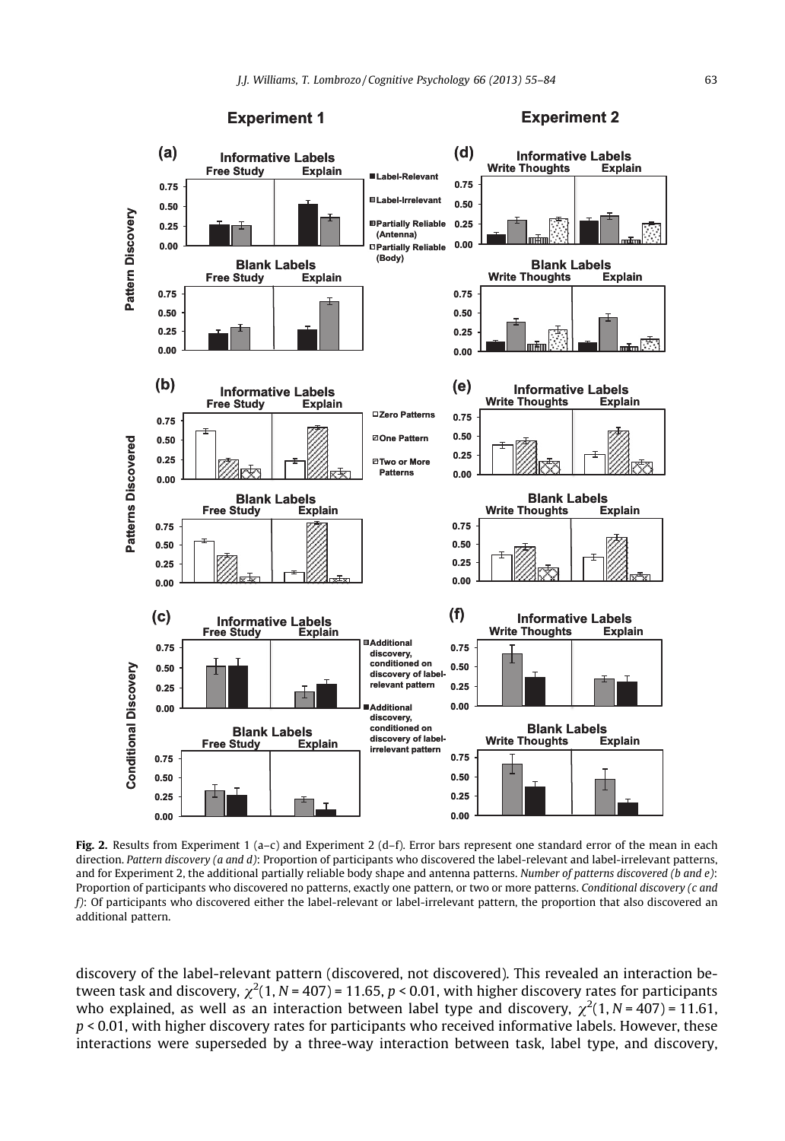<span id="page-8-0"></span>

Fig. 2. Results from Experiment  $1(a-c)$  and Experiment  $2(d-f)$ . Error bars represent one standard error of the mean in each direction. Pattern discovery (a and d): Proportion of participants who discovered the label-relevant and label-irrelevant patterns, and for Experiment 2, the additional partially reliable body shape and antenna patterns. Number of patterns discovered (b and  $e$ ): Proportion of participants who discovered no patterns, exactly one pattern, or two or more patterns. Conditional discovery (c and f): Of participants who discovered either the label-relevant or label-irrelevant pattern, the proportion that also discovered an additional pattern.

discovery of the label-relevant pattern (discovered, not discovered). This revealed an interaction between task and discovery,  $\chi^2(1, N = 407)$  = 11.65, p < 0.01, with higher discovery rates for participants who explained, as well as an interaction between label type and discovery,  $\chi^2(1, N = 407) = 11.61$ ,  $p < 0.01$ , with higher discovery rates for participants who received informative labels. However, these interactions were superseded by a three-way interaction between task, label type, and discovery,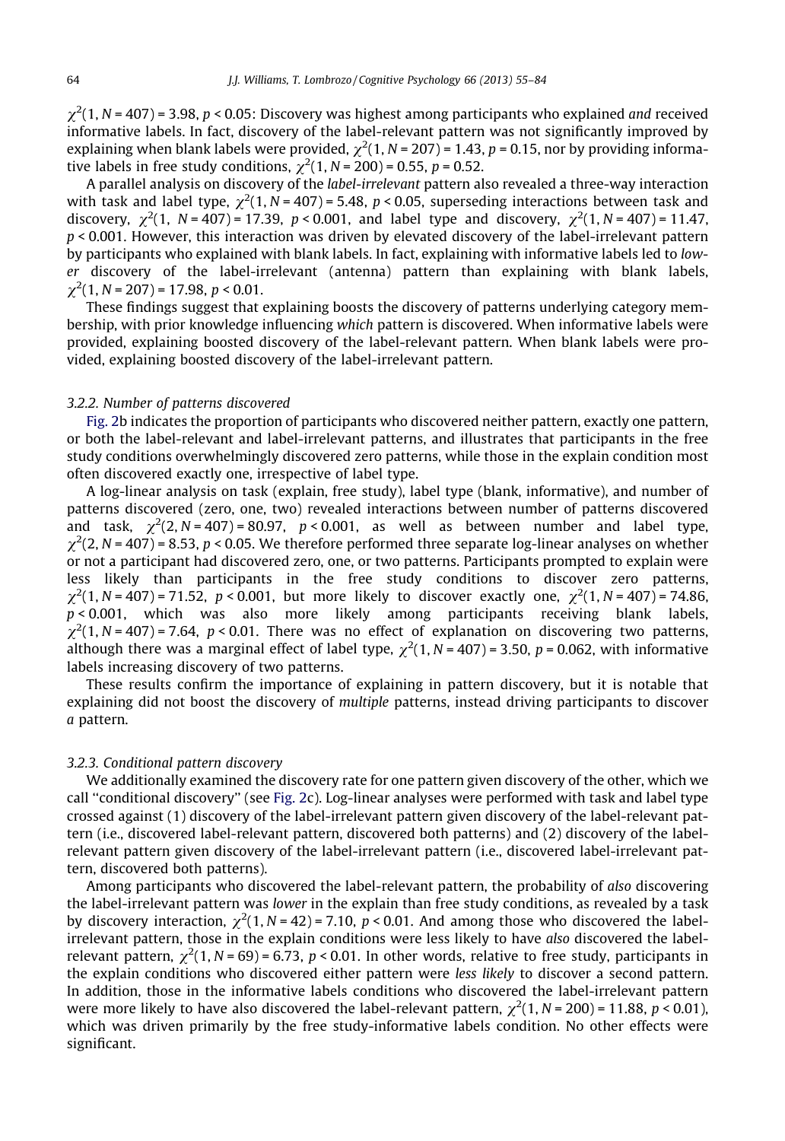$\chi^2(1, N = 407)$  = 3.98, p < 0.05: Discovery was highest among participants who explained and received informative labels. In fact, discovery of the label-relevant pattern was not significantly improved by explaining when blank labels were provided,  $\chi^2(1, N = 207)$  = 1.43, p = 0.15, nor by providing informative labels in free study conditions,  $\chi^2(1, N = 200) = 0.55$ ,  $p = 0.52$ .

A parallel analysis on discovery of the *label-irrelevant* pattern also revealed a three-way interaction with task and label type,  $\chi^2(1, N = 407) = 5.48$ , p < 0.05, superseding interactions between task and discovery,  $\chi^2(1, N = 407) = 17.39$ ,  $p < 0.001$ , and label type and discovery,  $\chi^2(1, N = 407) = 11.47$ ,  $p < 0.001$ . However, this interaction was driven by elevated discovery of the label-irrelevant pattern by participants who explained with blank labels. In fact, explaining with informative labels led to lower discovery of the label-irrelevant (antenna) pattern than explaining with blank labels,  $\chi^2(1, N = 207) = 17.98, p < 0.01.$ 

These findings suggest that explaining boosts the discovery of patterns underlying category membership, with prior knowledge influencing which pattern is discovered. When informative labels were provided, explaining boosted discovery of the label-relevant pattern. When blank labels were provided, explaining boosted discovery of the label-irrelevant pattern.

#### 3.2.2. Number of patterns discovered

[Fig. 2](#page-8-0)b indicates the proportion of participants who discovered neither pattern, exactly one pattern, or both the label-relevant and label-irrelevant patterns, and illustrates that participants in the free study conditions overwhelmingly discovered zero patterns, while those in the explain condition most often discovered exactly one, irrespective of label type.

A log-linear analysis on task (explain, free study), label type (blank, informative), and number of patterns discovered (zero, one, two) revealed interactions between number of patterns discovered and task,  $\chi^2(2, N = 407) = 80.97$ ,  $p < 0.001$ , as well as between number and label type,  $\chi^2$ (2, N = 407) = 8.53, p < 0.05. We therefore performed three separate log-linear analyses on whether or not a participant had discovered zero, one, or two patterns. Participants prompted to explain were less likely than participants in the free study conditions to discover zero patterns,  $\chi^2(1, N = 407) = 71.52$ ,  $p < 0.001$ , but more likely to discover exactly one,  $\chi^2(1, N = 407) = 74.86$ ,  $p < 0.001$ , which was also more likely among participants receiving blank labels,  $\chi^2(1, N = 407)$  = 7.64, p < 0.01. There was no effect of explanation on discovering two patterns, although there was a marginal effect of label type,  $\chi^2(1, N = 407)$  = 3.50, p = 0.062, with informative labels increasing discovery of two patterns.

These results confirm the importance of explaining in pattern discovery, but it is notable that explaining did not boost the discovery of multiple patterns, instead driving participants to discover a pattern.

#### 3.2.3. Conditional pattern discovery

We additionally examined the discovery rate for one pattern given discovery of the other, which we call ''conditional discovery'' (see [Fig. 2](#page-8-0)c). Log-linear analyses were performed with task and label type crossed against (1) discovery of the label-irrelevant pattern given discovery of the label-relevant pattern (i.e., discovered label-relevant pattern, discovered both patterns) and (2) discovery of the labelrelevant pattern given discovery of the label-irrelevant pattern (i.e., discovered label-irrelevant pattern, discovered both patterns).

Among participants who discovered the label-relevant pattern, the probability of also discovering the label-irrelevant pattern was lower in the explain than free study conditions, as revealed by a task by discovery interaction,  $\chi^2(1, N = 42) = 7.10$ ,  $p < 0.01$ . And among those who discovered the labelirrelevant pattern, those in the explain conditions were less likely to have also discovered the labelrelevant pattern,  $\chi^2(1, N = 69)$  = 6.73, p < 0.01. In other words, relative to free study, participants in the explain conditions who discovered either pattern were less likely to discover a second pattern. In addition, those in the informative labels conditions who discovered the label-irrelevant pattern were more likely to have also discovered the label-relevant pattern,  $\chi^2(1, N = 200)$  = 11.88, p < 0.01), which was driven primarily by the free study-informative labels condition. No other effects were significant.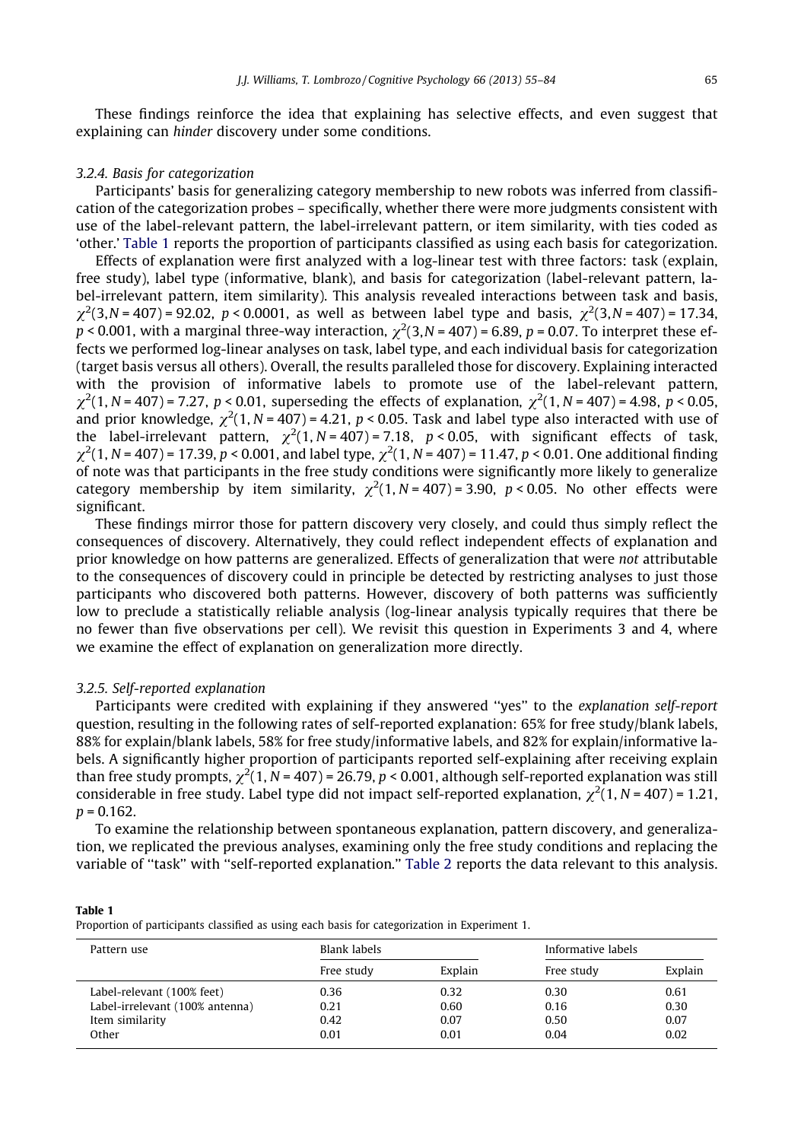These findings reinforce the idea that explaining has selective effects, and even suggest that explaining can hinder discovery under some conditions.

#### 3.2.4. Basis for categorization

Participants' basis for generalizing category membership to new robots was inferred from classification of the categorization probes – specifically, whether there were more judgments consistent with use of the label-relevant pattern, the label-irrelevant pattern, or item similarity, with ties coded as 'other.' Table 1 reports the proportion of participants classified as using each basis for categorization.

Effects of explanation were first analyzed with a log-linear test with three factors: task (explain, free study), label type (informative, blank), and basis for categorization (label-relevant pattern, label-irrelevant pattern, item similarity). This analysis revealed interactions between task and basis,  $\chi^2(3, N = 407) = 92.02$ ,  $p < 0.0001$ , as well as between label type and basis,  $\chi^2(3, N = 407) = 17.34$ , p < 0.001, with a marginal three-way interaction,  $\chi^2(3. N = 407)$  = 6.89, p = 0.07. To interpret these effects we performed log-linear analyses on task, label type, and each individual basis for categorization (target basis versus all others). Overall, the results paralleled those for discovery. Explaining interacted with the provision of informative labels to promote use of the label-relevant pattern,  $\chi^2(1, N = 407) = 7.27$ ,  $p < 0.01$ , superseding the effects of explanation,  $\chi^2(1, N = 407) = 4.98$ ,  $p < 0.05$ , and prior knowledge,  $\chi^2(1, N = 407) = 4.21$ ,  $p < 0.05$ . Task and label type also interacted with use of the label-irrelevant pattern,  $\chi^2(1, N = 407) = 7.18$ ,  $p < 0.05$ , with significant effects of task,  $\chi^2(1, N = 407)$  = 17.39, p < 0.001, and label type,  $\chi^2(1, N = 407)$  = 11.47, p < 0.01. One additional finding of note was that participants in the free study conditions were significantly more likely to generalize category membership by item similarity,  $\chi^2(1, N = 407) = 3.90$ ,  $p < 0.05$ . No other effects were significant.

These findings mirror those for pattern discovery very closely, and could thus simply reflect the consequences of discovery. Alternatively, they could reflect independent effects of explanation and prior knowledge on how patterns are generalized. Effects of generalization that were not attributable to the consequences of discovery could in principle be detected by restricting analyses to just those participants who discovered both patterns. However, discovery of both patterns was sufficiently low to preclude a statistically reliable analysis (log-linear analysis typically requires that there be no fewer than five observations per cell). We revisit this question in Experiments 3 and 4, where we examine the effect of explanation on generalization more directly.

#### 3.2.5. Self-reported explanation

Participants were credited with explaining if they answered "yes" to the explanation self-report question, resulting in the following rates of self-reported explanation: 65% for free study/blank labels, 88% for explain/blank labels, 58% for free study/informative labels, and 82% for explain/informative labels. A significantly higher proportion of participants reported self-explaining after receiving explain than free study prompts,  $\chi^2(1, N = 407) = 26.79$ ,  $p < 0.001$ , although self-reported explanation was still considerable in free study. Label type did not impact self-reported explanation,  $\chi^2(1, N = 407) = 1.21$ ,  $p = 0.162$ .

To examine the relationship between spontaneous explanation, pattern discovery, and generalization, we replicated the previous analyses, examining only the free study conditions and replacing the variable of ''task'' with ''self-reported explanation.'' [Table 2](#page-11-0) reports the data relevant to this analysis.

#### Table 1

Proportion of participants classified as using each basis for categorization in Experiment 1.

| Pattern use                     | Blank labels |         | Informative labels |         |
|---------------------------------|--------------|---------|--------------------|---------|
|                                 | Free study   | Explain | Free study         | Explain |
| Label-relevant (100% feet)      | 0.36         | 0.32    | 0.30               | 0.61    |
| Label-irrelevant (100% antenna) | 0.21         | 0.60    | 0.16               | 0.30    |
| Item similarity                 | 0.42         | 0.07    | 0.50               | 0.07    |
| Other                           | 0.01         | 0.01    | 0.04               | 0.02    |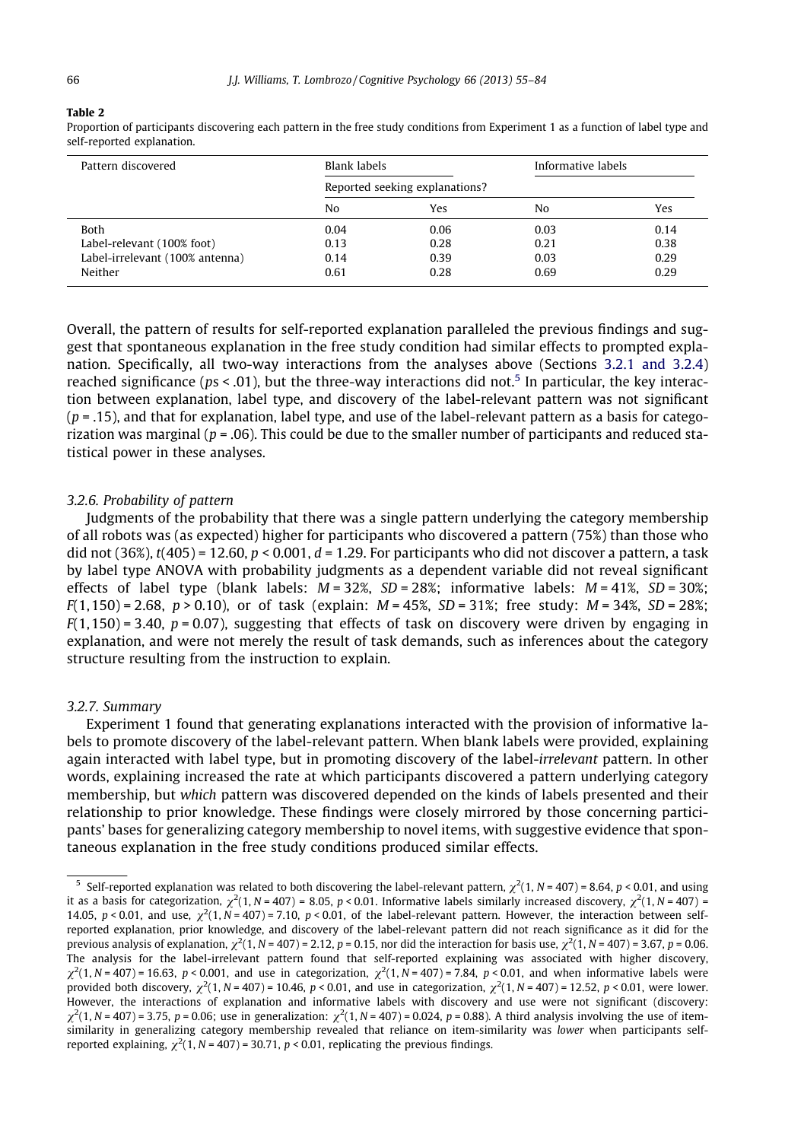#### <span id="page-11-0"></span>Table 2

Proportion of participants discovering each pattern in the free study conditions from Experiment 1 as a function of label type and self-reported explanation.

| Pattern discovered              | Blank labels                   |      | Informative labels |      |
|---------------------------------|--------------------------------|------|--------------------|------|
|                                 | Reported seeking explanations? |      |                    |      |
|                                 | No                             | Yes  | No                 | Yes  |
| <b>Both</b>                     | 0.04                           | 0.06 | 0.03               | 0.14 |
| Label-relevant (100% foot)      | 0.13                           | 0.28 | 0.21               | 0.38 |
| Label-irrelevant (100% antenna) | 0.14                           | 0.39 | 0.03               | 0.29 |
| Neither                         | 0.61                           | 0.28 | 0.69               | 0.29 |

Overall, the pattern of results for self-reported explanation paralleled the previous findings and suggest that spontaneous explanation in the free study condition had similar effects to prompted explanation. Specifically, all two-way interactions from the analyses above (Sections 3.2.1 and 3.2.4) reached significance ( $ps < .01$ ), but the three-way interactions did not.<sup>5</sup> In particular, the key interaction between explanation, label type, and discovery of the label-relevant pattern was not significant  $(p = .15)$ , and that for explanation, label type, and use of the label-relevant pattern as a basis for categorization was marginal ( $p = .06$ ). This could be due to the smaller number of participants and reduced statistical power in these analyses.

# 3.2.6. Probability of pattern

Judgments of the probability that there was a single pattern underlying the category membership of all robots was (as expected) higher for participants who discovered a pattern (75%) than those who did not (36%),  $t(405) = 12.60$ ,  $p < 0.001$ ,  $d = 1.29$ . For participants who did not discover a pattern, a task by label type ANOVA with probability judgments as a dependent variable did not reveal significant effects of label type (blank labels:  $M = 32\%$ ,  $SD = 28\%$ ; informative labels:  $M = 41\%$ ,  $SD = 30\%$ ;  $F(1,150) = 2.68$ ,  $p > 0.10$ ), or of task (explain:  $M = 45\%$ ,  $SD = 31\%$ ; free study:  $M = 34\%$ ,  $SD = 28\%$ ;  $F(1,150) = 3.40$ ,  $p = 0.07$ ), suggesting that effects of task on discovery were driven by engaging in explanation, and were not merely the result of task demands, such as inferences about the category structure resulting from the instruction to explain.

### 3.2.7. Summary

Experiment 1 found that generating explanations interacted with the provision of informative labels to promote discovery of the label-relevant pattern. When blank labels were provided, explaining again interacted with label type, but in promoting discovery of the label-irrelevant pattern. In other words, explaining increased the rate at which participants discovered a pattern underlying category membership, but which pattern was discovered depended on the kinds of labels presented and their relationship to prior knowledge. These findings were closely mirrored by those concerning participants' bases for generalizing category membership to novel items, with suggestive evidence that spontaneous explanation in the free study conditions produced similar effects.

<sup>&</sup>lt;sup>5</sup> Self-reported explanation was related to both discovering the label-relevant pattern,  $\chi^2(1, N = 407) = 8.64$ ,  $p < 0.01$ , and using it as a basis for categorization,  $\chi^2(1, N = 407) = 8.05$ , p < 0.01. Informative labels similarly increased discovery,  $\chi^2(1, N = 407) =$ 14.05,  $p < 0.01$ , and use,  $\chi^2(1, N = 407) = 7.10$ ,  $p < 0.01$ , of the label-relevant pattern. However, the interaction between selfreported explanation, prior knowledge, and discovery of the label-relevant pattern did not reach significance as it did for the previous analysis of explanation,  $\chi^2(1, N = 407) = 2.12$ , p = 0.15, nor did the interaction for basis use,  $\chi^2(1, N = 407) = 3.67$ , p = 0.06. The analysis for the label-irrelevant pattern found that self-reported explaining was associated with higher discovery,  $\chi^2(1, N = 407) = 16.63$ ,  $p < 0.001$ , and use in categorization,  $\chi^2(1, N = 407) = 7.84$ ,  $p < 0.01$ , and when informative labels were provided both discovery,  $\chi^2(1, N = 407) = 10.46$ ,  $p < 0.01$ , and use in categorization,  $\chi^2(1, N = 407) = 12.52$ ,  $p < 0.01$ , were lower. However, the interactions of explanation and informative labels with discovery and use were not significant (discovery:  $\chi^2(1, N = 407) = 3.75$ , p = 0.06; use in generalization:  $\chi^2(1, N = 407) = 0.024$ , p = 0.88). A third analysis involving the use of itemsimilarity in generalizing category membership revealed that reliance on item-similarity was lower when participants selfreported explaining,  $\chi^2(1, N = 407) = 30.71$ ,  $p < 0.01$ , replicating the previous findings.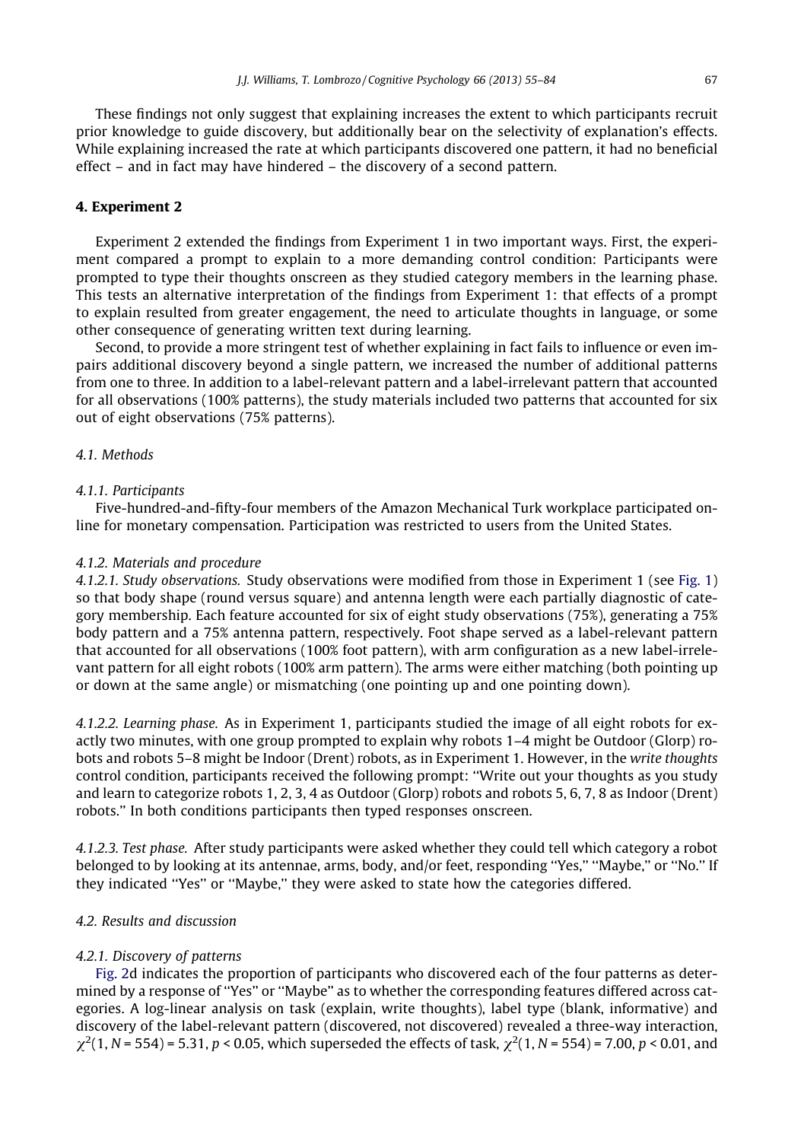These findings not only suggest that explaining increases the extent to which participants recruit prior knowledge to guide discovery, but additionally bear on the selectivity of explanation's effects. While explaining increased the rate at which participants discovered one pattern, it had no beneficial effect – and in fact may have hindered – the discovery of a second pattern.

# 4. Experiment 2

Experiment 2 extended the findings from Experiment 1 in two important ways. First, the experiment compared a prompt to explain to a more demanding control condition: Participants were prompted to type their thoughts onscreen as they studied category members in the learning phase. This tests an alternative interpretation of the findings from Experiment 1: that effects of a prompt to explain resulted from greater engagement, the need to articulate thoughts in language, or some other consequence of generating written text during learning.

Second, to provide a more stringent test of whether explaining in fact fails to influence or even impairs additional discovery beyond a single pattern, we increased the number of additional patterns from one to three. In addition to a label-relevant pattern and a label-irrelevant pattern that accounted for all observations (100% patterns), the study materials included two patterns that accounted for six out of eight observations (75% patterns).

# 4.1. Methods

# 4.1.1. Participants

Five-hundred-and-fifty-four members of the Amazon Mechanical Turk workplace participated online for monetary compensation. Participation was restricted to users from the United States.

#### 4.1.2. Materials and procedure

4.1.2.1. Study observations. Study observations were modified from those in Experiment 1 (see [Fig. 1\)](#page-6-0) so that body shape (round versus square) and antenna length were each partially diagnostic of category membership. Each feature accounted for six of eight study observations (75%), generating a 75% body pattern and a 75% antenna pattern, respectively. Foot shape served as a label-relevant pattern that accounted for all observations (100% foot pattern), with arm configuration as a new label-irrelevant pattern for all eight robots (100% arm pattern). The arms were either matching (both pointing up or down at the same angle) or mismatching (one pointing up and one pointing down).

4.1.2.2. Learning phase. As in Experiment 1, participants studied the image of all eight robots for exactly two minutes, with one group prompted to explain why robots 1–4 might be Outdoor (Glorp) robots and robots 5–8 might be Indoor (Drent) robots, as in Experiment 1. However, in the write thoughts control condition, participants received the following prompt: ''Write out your thoughts as you study and learn to categorize robots 1, 2, 3, 4 as Outdoor (Glorp) robots and robots 5, 6, 7, 8 as Indoor (Drent) robots.'' In both conditions participants then typed responses onscreen.

4.1.2.3. Test phase. After study participants were asked whether they could tell which category a robot belonged to by looking at its antennae, arms, body, and/or feet, responding ''Yes,'' ''Maybe,'' or ''No.'' If they indicated ''Yes'' or ''Maybe,'' they were asked to state how the categories differed.

# 4.2. Results and discussion

### 4.2.1. Discovery of patterns

[Fig. 2](#page-8-0)d indicates the proportion of participants who discovered each of the four patterns as determined by a response of ''Yes'' or ''Maybe'' as to whether the corresponding features differed across categories. A log-linear analysis on task (explain, write thoughts), label type (blank, informative) and discovery of the label-relevant pattern (discovered, not discovered) revealed a three-way interaction,  $\chi^2(1, N = 554) = 5.31$ , p < 0.05, which superseded the effects of task,  $\chi^2(1, N = 554) = 7.00$ , p < 0.01, and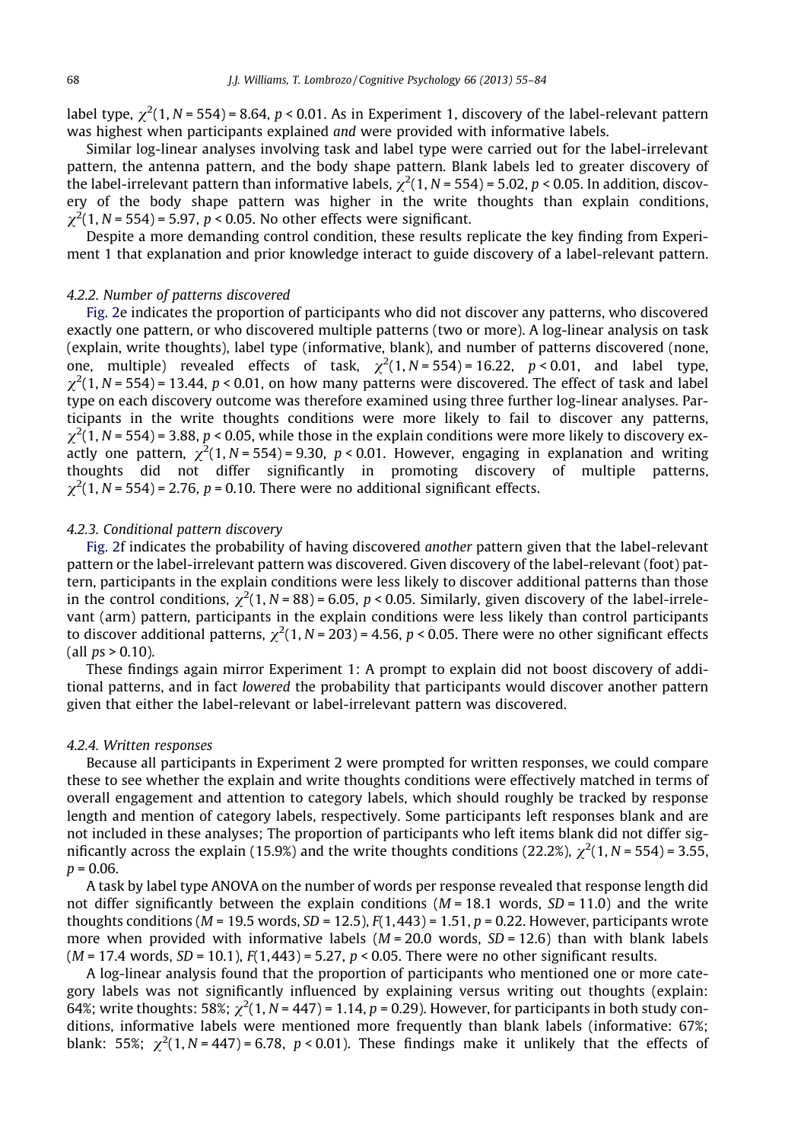label type,  $\chi^2(1, N = 554)$  = 8.64, p < 0.01. As in Experiment 1, discovery of the label-relevant pattern was highest when participants explained and were provided with informative labels.

Similar log-linear analyses involving task and label type were carried out for the label-irrelevant pattern, the antenna pattern, and the body shape pattern. Blank labels led to greater discovery of the label-irrelevant pattern than informative labels,  $\chi^2(1, N$  = 554) = 5.02, p < 0.05. In addition, discovery of the body shape pattern was higher in the write thoughts than explain conditions,  $\chi^2(1, N = 554)$  = 5.97, p < 0.05. No other effects were significant.

Despite a more demanding control condition, these results replicate the key finding from Experiment 1 that explanation and prior knowledge interact to guide discovery of a label-relevant pattern.

#### 4.2.2. Number of patterns discovered

[Fig. 2e](#page-8-0) indicates the proportion of participants who did not discover any patterns, who discovered exactly one pattern, or who discovered multiple patterns (two or more). A log-linear analysis on task (explain, write thoughts), label type (informative, blank), and number of patterns discovered (none, one, multiple) revealed effects of task,  $\chi^2(1, N = 554) = 16.22$ ,  $p < 0.01$ , and label type,  $\chi^2(1, N = 554)$  = 13.44, p < 0.01, on how many patterns were discovered. The effect of task and label type on each discovery outcome was therefore examined using three further log-linear analyses. Participants in the write thoughts conditions were more likely to fail to discover any patterns,  $\chi^2(1, N = 554)$  = 3.88, p < 0.05, while those in the explain conditions were more likely to discovery exactly one pattern,  $\chi^2(1, N = 554) = 9.30$ ,  $p < 0.01$ . However, engaging in explanation and writing thoughts did not differ significantly in promoting discovery of multiple patterns,  $\chi^2(1, N = 554)$  = 2.76, p = 0.10. There were no additional significant effects.

# 4.2.3. Conditional pattern discovery

[Fig. 2f](#page-8-0) indicates the probability of having discovered *another* pattern given that the label-relevant pattern or the label-irrelevant pattern was discovered. Given discovery of the label-relevant (foot) pattern, participants in the explain conditions were less likely to discover additional patterns than those in the control conditions,  $\chi^2(1, N = 88) = 6.05$ ,  $p < 0.05$ . Similarly, given discovery of the label-irrelevant (arm) pattern, participants in the explain conditions were less likely than control participants to discover additional patterns,  $\chi^2(1, N = 203)$  = 4.56, p < 0.05. There were no other significant effects (all  $ps > 0.10$ ).

These findings again mirror Experiment 1: A prompt to explain did not boost discovery of additional patterns, and in fact lowered the probability that participants would discover another pattern given that either the label-relevant or label-irrelevant pattern was discovered.

### 4.2.4. Written responses

Because all participants in Experiment 2 were prompted for written responses, we could compare these to see whether the explain and write thoughts conditions were effectively matched in terms of overall engagement and attention to category labels, which should roughly be tracked by response length and mention of category labels, respectively. Some participants left responses blank and are not included in these analyses; The proportion of participants who left items blank did not differ significantly across the explain (15.9%) and the write thoughts conditions (22.2%),  $\chi^2(1, N = 554) = 3.55$ ,  $p = 0.06$ .

A task by label type ANOVA on the number of words per response revealed that response length did not differ significantly between the explain conditions ( $M = 18.1$  words,  $SD = 11.0$ ) and the write thoughts conditions ( $M = 19.5$  words,  $SD = 12.5$ ),  $F(1,443) = 1.51$ ,  $p = 0.22$ . However, participants wrote more when provided with informative labels ( $M = 20.0$  words,  $SD = 12.6$ ) than with blank labels  $(M = 17.4$  words,  $SD = 10.1$ ),  $F(1,443) = 5.27$ ,  $p < 0.05$ . There were no other significant results.

A log-linear analysis found that the proportion of participants who mentioned one or more category labels was not significantly influenced by explaining versus writing out thoughts (explain: 64%; write thoughts: 58%;  $\chi^2(1, N = 447) = 1.14$ ,  $p = 0.29$ ). However, for participants in both study conditions, informative labels were mentioned more frequently than blank labels (informative: 67%; blank: 55%;  $\chi^2(1, N = 447) = 6.78$ ,  $p < 0.01$ ). These findings make it unlikely that the effects of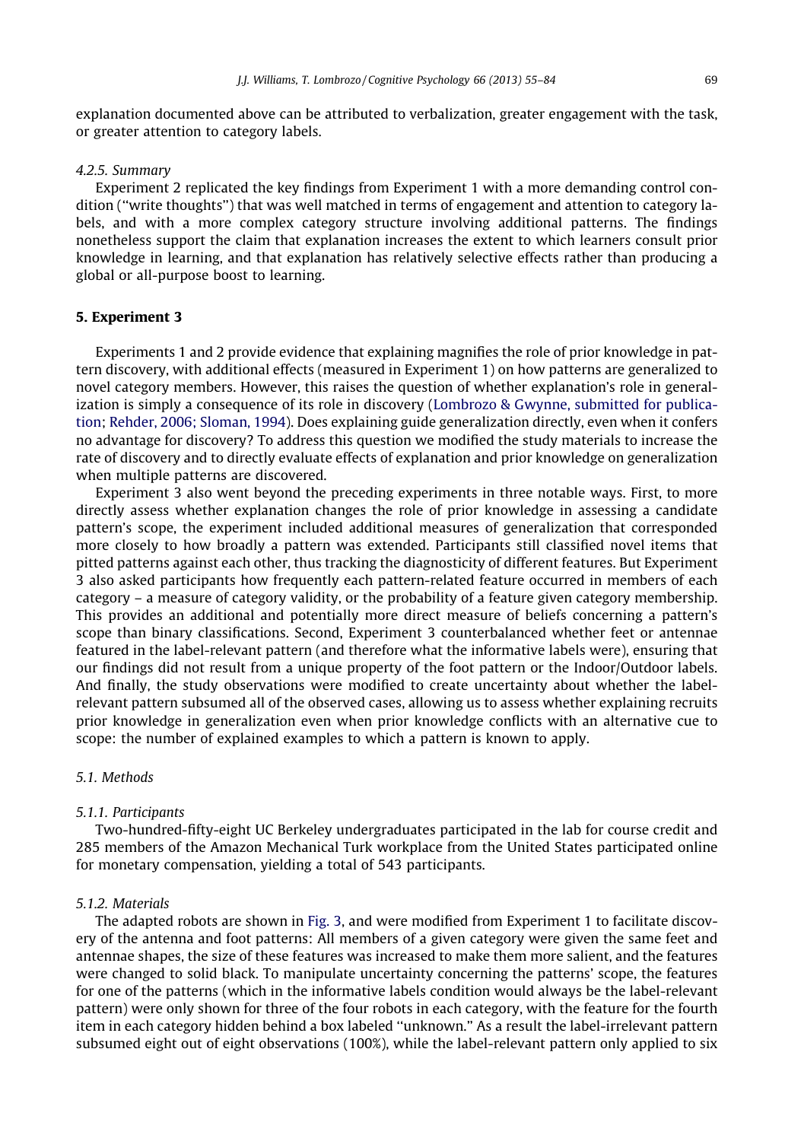explanation documented above can be attributed to verbalization, greater engagement with the task, or greater attention to category labels.

#### 4.2.5. Summary

Experiment 2 replicated the key findings from Experiment 1 with a more demanding control condition (''write thoughts'') that was well matched in terms of engagement and attention to category labels, and with a more complex category structure involving additional patterns. The findings nonetheless support the claim that explanation increases the extent to which learners consult prior knowledge in learning, and that explanation has relatively selective effects rather than producing a global or all-purpose boost to learning.

# 5. Experiment 3

Experiments 1 and 2 provide evidence that explaining magnifies the role of prior knowledge in pattern discovery, with additional effects (measured in Experiment 1) on how patterns are generalized to novel category members. However, this raises the question of whether explanation's role in generalization is simply a consequence of its role in discovery [\(Lombrozo & Gwynne, submitted for publica](#page-28-0)[tion](#page-28-0); [Rehder, 2006; Sloman, 1994](#page-28-0)). Does explaining guide generalization directly, even when it confers no advantage for discovery? To address this question we modified the study materials to increase the rate of discovery and to directly evaluate effects of explanation and prior knowledge on generalization when multiple patterns are discovered.

Experiment 3 also went beyond the preceding experiments in three notable ways. First, to more directly assess whether explanation changes the role of prior knowledge in assessing a candidate pattern's scope, the experiment included additional measures of generalization that corresponded more closely to how broadly a pattern was extended. Participants still classified novel items that pitted patterns against each other, thus tracking the diagnosticity of different features. But Experiment 3 also asked participants how frequently each pattern-related feature occurred in members of each category – a measure of category validity, or the probability of a feature given category membership. This provides an additional and potentially more direct measure of beliefs concerning a pattern's scope than binary classifications. Second, Experiment 3 counterbalanced whether feet or antennae featured in the label-relevant pattern (and therefore what the informative labels were), ensuring that our findings did not result from a unique property of the foot pattern or the Indoor/Outdoor labels. And finally, the study observations were modified to create uncertainty about whether the labelrelevant pattern subsumed all of the observed cases, allowing us to assess whether explaining recruits prior knowledge in generalization even when prior knowledge conflicts with an alternative cue to scope: the number of explained examples to which a pattern is known to apply.

# 5.1. Methods

# 5.1.1. Participants

Two-hundred-fifty-eight UC Berkeley undergraduates participated in the lab for course credit and 285 members of the Amazon Mechanical Turk workplace from the United States participated online for monetary compensation, yielding a total of 543 participants.

# 5.1.2. Materials

The adapted robots are shown in [Fig. 3,](#page-15-0) and were modified from Experiment 1 to facilitate discovery of the antenna and foot patterns: All members of a given category were given the same feet and antennae shapes, the size of these features was increased to make them more salient, and the features were changed to solid black. To manipulate uncertainty concerning the patterns' scope, the features for one of the patterns (which in the informative labels condition would always be the label-relevant pattern) were only shown for three of the four robots in each category, with the feature for the fourth item in each category hidden behind a box labeled ''unknown.'' As a result the label-irrelevant pattern subsumed eight out of eight observations (100%), while the label-relevant pattern only applied to six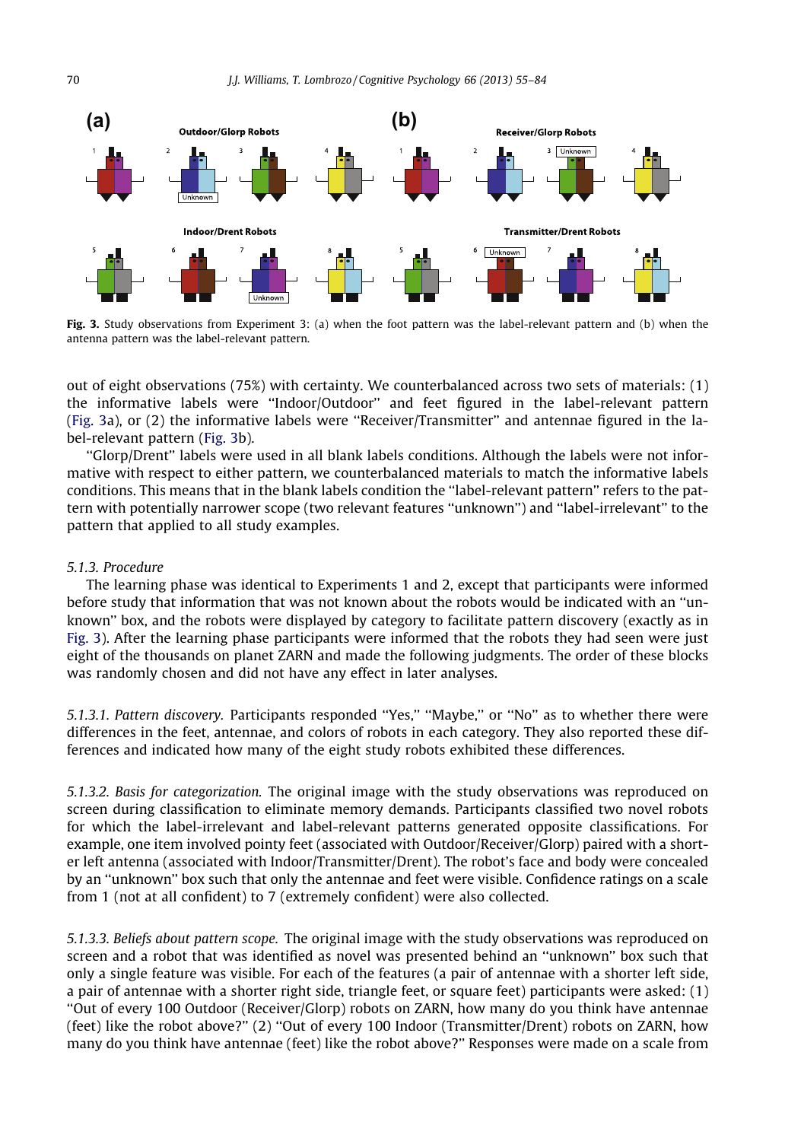<span id="page-15-0"></span>

Fig. 3. Study observations from Experiment 3: (a) when the foot pattern was the label-relevant pattern and (b) when the antenna pattern was the label-relevant pattern.

out of eight observations (75%) with certainty. We counterbalanced across two sets of materials: (1) the informative labels were ''Indoor/Outdoor'' and feet figured in the label-relevant pattern (Fig. 3a), or (2) the informative labels were ''Receiver/Transmitter'' and antennae figured in the label-relevant pattern (Fig. 3b).

''Glorp/Drent'' labels were used in all blank labels conditions. Although the labels were not informative with respect to either pattern, we counterbalanced materials to match the informative labels conditions. This means that in the blank labels condition the ''label-relevant pattern'' refers to the pattern with potentially narrower scope (two relevant features ''unknown'') and ''label-irrelevant'' to the pattern that applied to all study examples.

### 5.1.3. Procedure

The learning phase was identical to Experiments 1 and 2, except that participants were informed before study that information that was not known about the robots would be indicated with an ''unknown'' box, and the robots were displayed by category to facilitate pattern discovery (exactly as in Fig. 3). After the learning phase participants were informed that the robots they had seen were just eight of the thousands on planet ZARN and made the following judgments. The order of these blocks was randomly chosen and did not have any effect in later analyses.

5.1.3.1. Pattern discovery. Participants responded ''Yes,'' ''Maybe,'' or ''No'' as to whether there were differences in the feet, antennae, and colors of robots in each category. They also reported these differences and indicated how many of the eight study robots exhibited these differences.

5.1.3.2. Basis for categorization. The original image with the study observations was reproduced on screen during classification to eliminate memory demands. Participants classified two novel robots for which the label-irrelevant and label-relevant patterns generated opposite classifications. For example, one item involved pointy feet (associated with Outdoor/Receiver/Glorp) paired with a shorter left antenna (associated with Indoor/Transmitter/Drent). The robot's face and body were concealed by an ''unknown'' box such that only the antennae and feet were visible. Confidence ratings on a scale from 1 (not at all confident) to 7 (extremely confident) were also collected.

5.1.3.3. Beliefs about pattern scope. The original image with the study observations was reproduced on screen and a robot that was identified as novel was presented behind an ''unknown'' box such that only a single feature was visible. For each of the features (a pair of antennae with a shorter left side, a pair of antennae with a shorter right side, triangle feet, or square feet) participants were asked: (1) ''Out of every 100 Outdoor (Receiver/Glorp) robots on ZARN, how many do you think have antennae (feet) like the robot above?'' (2) ''Out of every 100 Indoor (Transmitter/Drent) robots on ZARN, how many do you think have antennae (feet) like the robot above?'' Responses were made on a scale from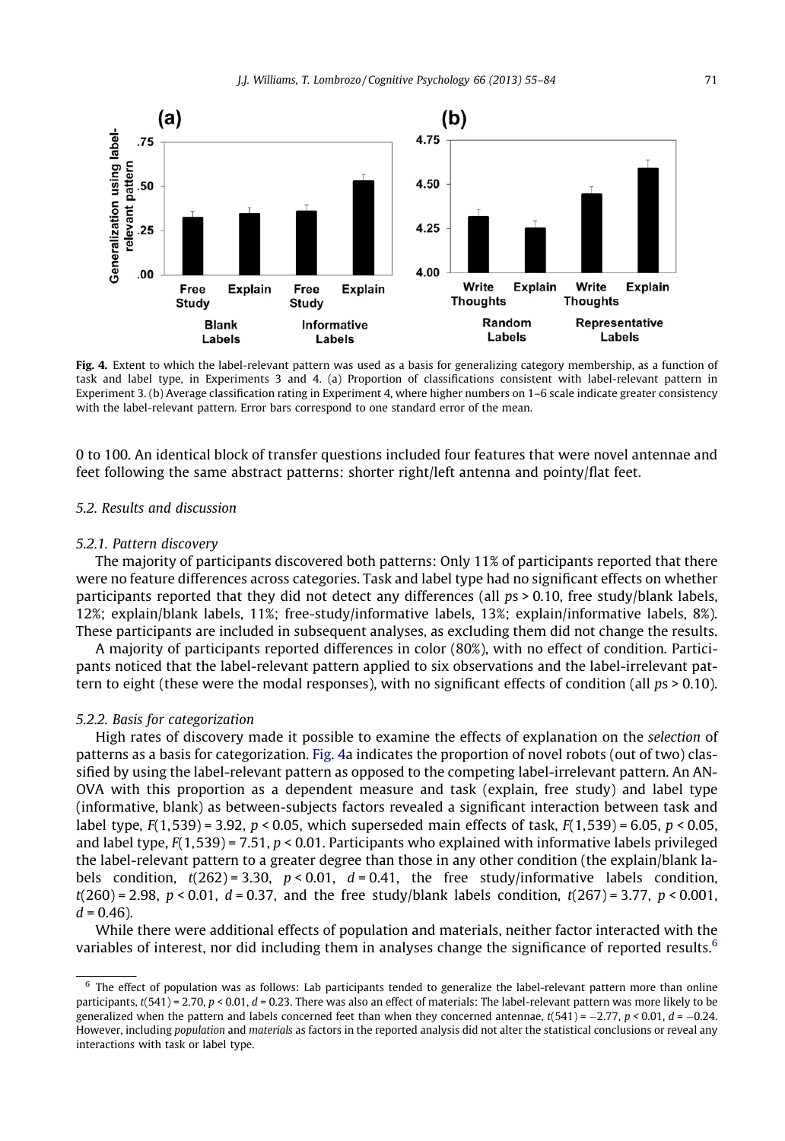<span id="page-16-0"></span>

Fig. 4. Extent to which the label-relevant pattern was used as a basis for generalizing category membership, as a function of task and label type, in Experiments 3 and 4. (a) Proportion of classifications consistent with label-relevant pattern in Experiment 3. (b) Average classification rating in Experiment 4, where higher numbers on 1–6 scale indicate greater consistency with the label-relevant pattern. Error bars correspond to one standard error of the mean.

0 to 100. An identical block of transfer questions included four features that were novel antennae and feet following the same abstract patterns: shorter right/left antenna and pointy/flat feet.

# 5.2. Results and discussion

#### 5.2.1. Pattern discovery

The majority of participants discovered both patterns: Only 11% of participants reported that there were no feature differences across categories. Task and label type had no significant effects on whether participants reported that they did not detect any differences (all ps > 0.10, free study/blank labels, 12%; explain/blank labels, 11%; free-study/informative labels, 13%; explain/informative labels, 8%). These participants are included in subsequent analyses, as excluding them did not change the results.

A majority of participants reported differences in color (80%), with no effect of condition. Participants noticed that the label-relevant pattern applied to six observations and the label-irrelevant pattern to eight (these were the modal responses), with no significant effects of condition (all  $ps > 0.10$ ).

## 5.2.2. Basis for categorization

High rates of discovery made it possible to examine the effects of explanation on the selection of patterns as a basis for categorization. Fig. 4a indicates the proportion of novel robots (out of two) classified by using the label-relevant pattern as opposed to the competing label-irrelevant pattern. An AN-OVA with this proportion as a dependent measure and task (explain, free study) and label type (informative, blank) as between-subjects factors revealed a significant interaction between task and label type,  $F(1,539) = 3.92$ ,  $p < 0.05$ , which superseded main effects of task,  $F(1,539) = 6.05$ ,  $p < 0.05$ , and label type,  $F(1,539) = 7.51$ ,  $p < 0.01$ . Participants who explained with informative labels privileged the label-relevant pattern to a greater degree than those in any other condition (the explain/blank labels condition,  $t(262) = 3.30$ ,  $p < 0.01$ ,  $d = 0.41$ , the free study/informative labels condition,  $t(260) = 2.98$ ,  $p < 0.01$ ,  $d = 0.37$ , and the free study/blank labels condition,  $t(267) = 3.77$ ,  $p < 0.001$ ,  $d = 0.46$ ).

While there were additional effects of population and materials, neither factor interacted with the variables of interest, nor did including them in analyses change the significance of reported results.<sup>6</sup>

<sup>6</sup> The effect of population was as follows: Lab participants tended to generalize the label-relevant pattern more than online participants,  $t(541) = 2.70$ ,  $p < 0.01$ ,  $d = 0.23$ . There was also an effect of materials: The label-relevant pattern was more likely to be generalized when the pattern and labels concerned feet than when they concerned antennae,  $t(541) = -2.77$ ,  $p < 0.01$ ,  $d = -0.24$ . However, including population and materials as factors in the reported analysis did not alter the statistical conclusions or reveal any interactions with task or label type.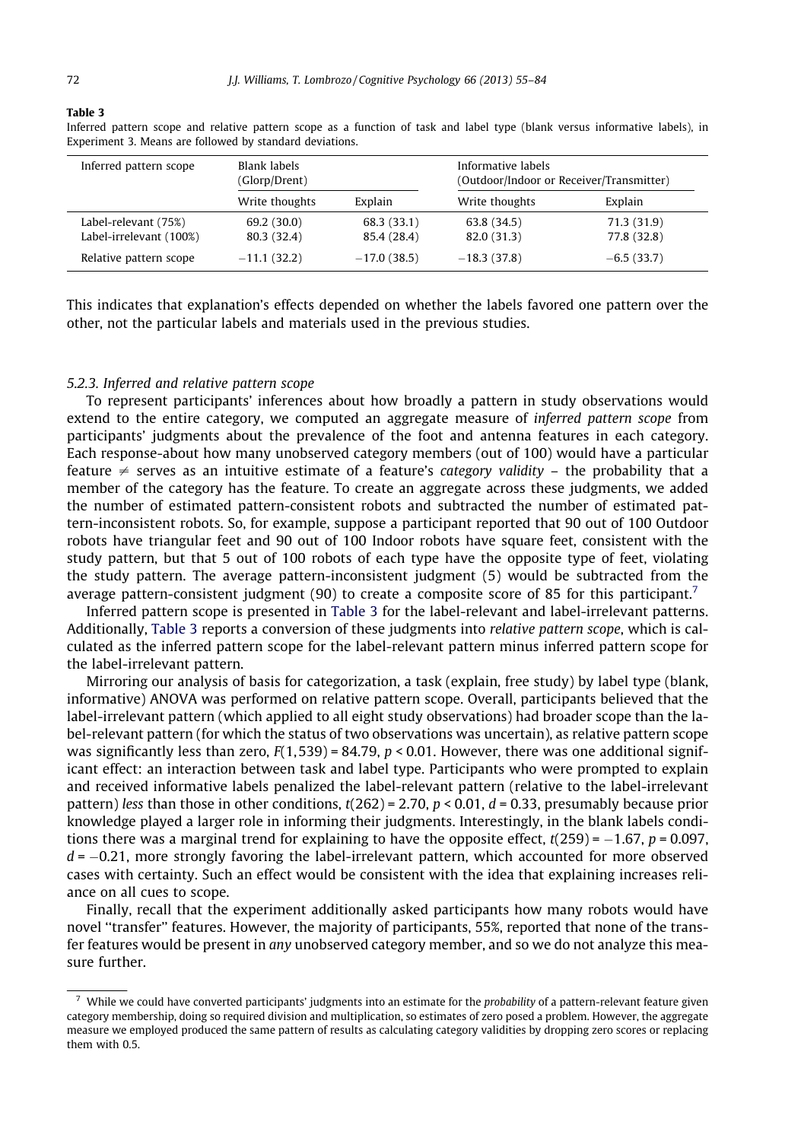| Inferred pattern scope                          | Blank labels<br>(Glorp/Drent) |                            |                            | Informative labels<br>(Outdoor/Indoor or Receiver/Transmitter) |  |
|-------------------------------------------------|-------------------------------|----------------------------|----------------------------|----------------------------------------------------------------|--|
|                                                 | Write thoughts                | Explain                    | Write thoughts             | Explain                                                        |  |
| Label-relevant (75%)<br>Label-irrelevant (100%) | 69.2 (30.0)<br>80.3 (32.4)    | 68.3 (33.1)<br>85.4 (28.4) | 63.8 (34.5)<br>82.0 (31.3) | 71.3(31.9)<br>77.8 (32.8)                                      |  |
| Relative pattern scope                          | $-11.1(32.2)$                 | $-17.0(38.5)$              | $-18.3(37.8)$              | $-6.5(33.7)$                                                   |  |

Inferred pattern scope and relative pattern scope as a function of task and label type (blank versus informative labels), in Experiment 3. Means are followed by standard deviations.

This indicates that explanation's effects depended on whether the labels favored one pattern over the other, not the particular labels and materials used in the previous studies.

#### 5.2.3. Inferred and relative pattern scope

To represent participants' inferences about how broadly a pattern in study observations would extend to the entire category, we computed an aggregate measure of *inferred pattern scope* from participants' judgments about the prevalence of the foot and antenna features in each category. Each response-about how many unobserved category members (out of 100) would have a particular feature  $\neq$  serves as an intuitive estimate of a feature's category validity – the probability that a member of the category has the feature. To create an aggregate across these judgments, we added the number of estimated pattern-consistent robots and subtracted the number of estimated pattern-inconsistent robots. So, for example, suppose a participant reported that 90 out of 100 Outdoor robots have triangular feet and 90 out of 100 Indoor robots have square feet, consistent with the study pattern, but that 5 out of 100 robots of each type have the opposite type of feet, violating the study pattern. The average pattern-inconsistent judgment (5) would be subtracted from the average pattern-consistent judgment  $(90)$  to create a composite score of 85 for this participant.<sup>7</sup>

Inferred pattern scope is presented in Table 3 for the label-relevant and label-irrelevant patterns. Additionally, Table 3 reports a conversion of these judgments into relative pattern scope, which is calculated as the inferred pattern scope for the label-relevant pattern minus inferred pattern scope for the label-irrelevant pattern.

Mirroring our analysis of basis for categorization, a task (explain, free study) by label type (blank, informative) ANOVA was performed on relative pattern scope. Overall, participants believed that the label-irrelevant pattern (which applied to all eight study observations) had broader scope than the label-relevant pattern (for which the status of two observations was uncertain), as relative pattern scope was significantly less than zero,  $F(1,539) = 84.79$ ,  $p < 0.01$ . However, there was one additional significant effect: an interaction between task and label type. Participants who were prompted to explain and received informative labels penalized the label-relevant pattern (relative to the label-irrelevant pattern) less than those in other conditions,  $t(262) = 2.70$ ,  $p < 0.01$ ,  $d = 0.33$ , presumably because prior knowledge played a larger role in informing their judgments. Interestingly, in the blank labels conditions there was a marginal trend for explaining to have the opposite effect, t(259) =  $-1.67$ , p = 0.097,  $d$  =  $-0.21$ , more strongly favoring the label-irrelevant pattern, which accounted for more observed cases with certainty. Such an effect would be consistent with the idea that explaining increases reliance on all cues to scope.

Finally, recall that the experiment additionally asked participants how many robots would have novel ''transfer'' features. However, the majority of participants, 55%, reported that none of the transfer features would be present in any unobserved category member, and so we do not analyze this measure further.

Table 3

 $^7$  While we could have converted participants' judgments into an estimate for the *probability* of a pattern-relevant feature given category membership, doing so required division and multiplication, so estimates of zero posed a problem. However, the aggregate measure we employed produced the same pattern of results as calculating category validities by dropping zero scores or replacing them with 0.5.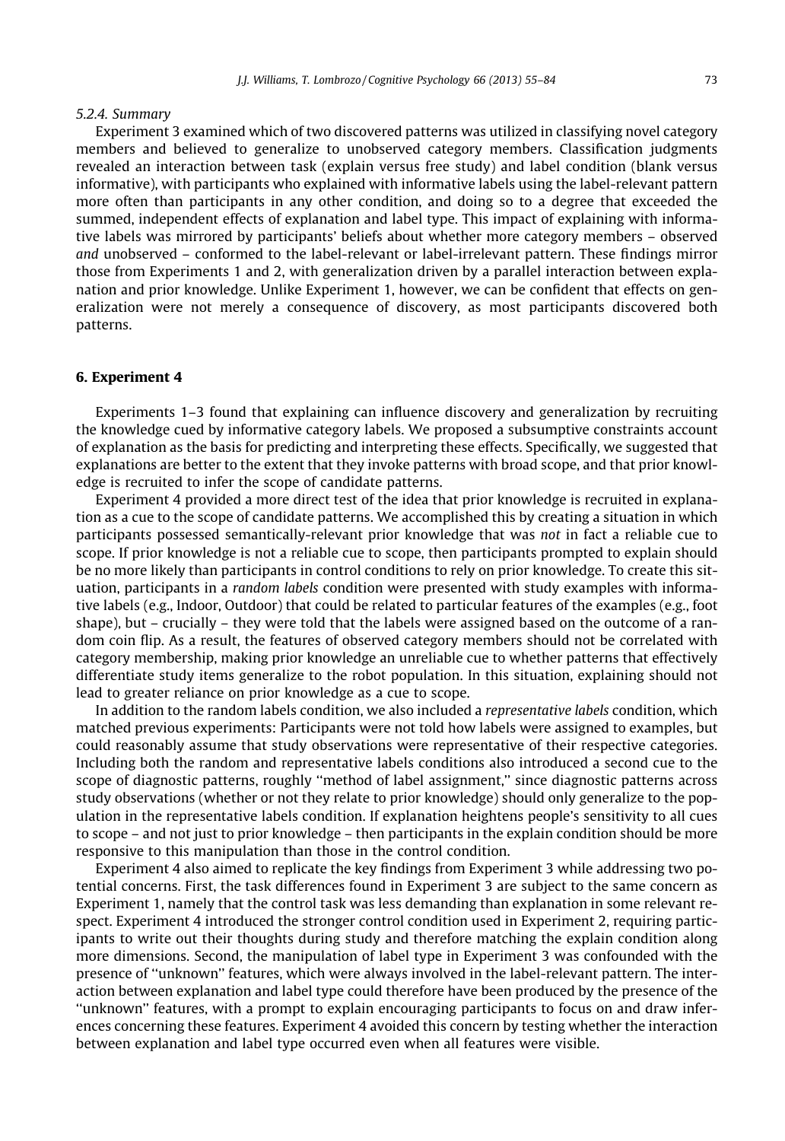### 5.2.4. Summary

Experiment 3 examined which of two discovered patterns was utilized in classifying novel category members and believed to generalize to unobserved category members. Classification judgments revealed an interaction between task (explain versus free study) and label condition (blank versus informative), with participants who explained with informative labels using the label-relevant pattern more often than participants in any other condition, and doing so to a degree that exceeded the summed, independent effects of explanation and label type. This impact of explaining with informative labels was mirrored by participants' beliefs about whether more category members – observed and unobserved – conformed to the label-relevant or label-irrelevant pattern. These findings mirror those from Experiments 1 and 2, with generalization driven by a parallel interaction between explanation and prior knowledge. Unlike Experiment 1, however, we can be confident that effects on generalization were not merely a consequence of discovery, as most participants discovered both patterns.

# 6. Experiment 4

Experiments 1–3 found that explaining can influence discovery and generalization by recruiting the knowledge cued by informative category labels. We proposed a subsumptive constraints account of explanation as the basis for predicting and interpreting these effects. Specifically, we suggested that explanations are better to the extent that they invoke patterns with broad scope, and that prior knowledge is recruited to infer the scope of candidate patterns.

Experiment 4 provided a more direct test of the idea that prior knowledge is recruited in explanation as a cue to the scope of candidate patterns. We accomplished this by creating a situation in which participants possessed semantically-relevant prior knowledge that was not in fact a reliable cue to scope. If prior knowledge is not a reliable cue to scope, then participants prompted to explain should be no more likely than participants in control conditions to rely on prior knowledge. To create this situation, participants in a random labels condition were presented with study examples with informative labels (e.g., Indoor, Outdoor) that could be related to particular features of the examples (e.g., foot shape), but – crucially – they were told that the labels were assigned based on the outcome of a random coin flip. As a result, the features of observed category members should not be correlated with category membership, making prior knowledge an unreliable cue to whether patterns that effectively differentiate study items generalize to the robot population. In this situation, explaining should not lead to greater reliance on prior knowledge as a cue to scope.

In addition to the random labels condition, we also included a representative labels condition, which matched previous experiments: Participants were not told how labels were assigned to examples, but could reasonably assume that study observations were representative of their respective categories. Including both the random and representative labels conditions also introduced a second cue to the scope of diagnostic patterns, roughly ''method of label assignment,'' since diagnostic patterns across study observations (whether or not they relate to prior knowledge) should only generalize to the population in the representative labels condition. If explanation heightens people's sensitivity to all cues to scope – and not just to prior knowledge – then participants in the explain condition should be more responsive to this manipulation than those in the control condition.

Experiment 4 also aimed to replicate the key findings from Experiment 3 while addressing two potential concerns. First, the task differences found in Experiment 3 are subject to the same concern as Experiment 1, namely that the control task was less demanding than explanation in some relevant respect. Experiment 4 introduced the stronger control condition used in Experiment 2, requiring participants to write out their thoughts during study and therefore matching the explain condition along more dimensions. Second, the manipulation of label type in Experiment 3 was confounded with the presence of ''unknown'' features, which were always involved in the label-relevant pattern. The interaction between explanation and label type could therefore have been produced by the presence of the ''unknown'' features, with a prompt to explain encouraging participants to focus on and draw inferences concerning these features. Experiment 4 avoided this concern by testing whether the interaction between explanation and label type occurred even when all features were visible.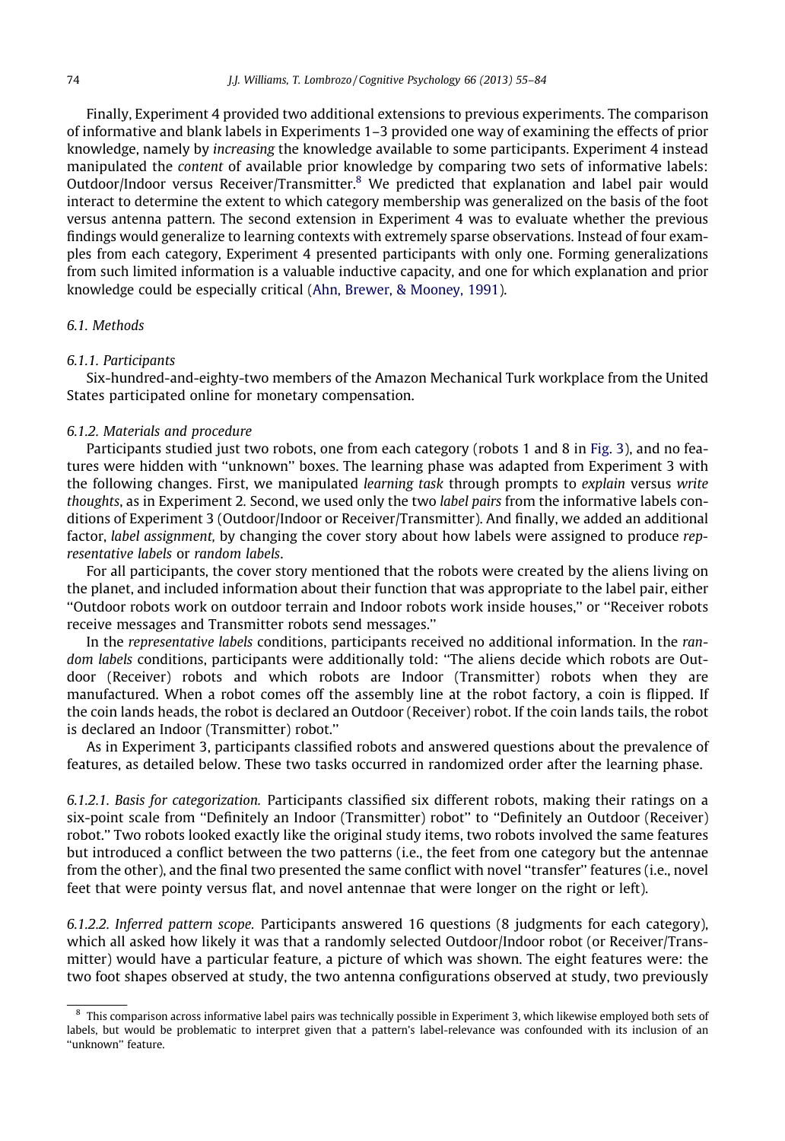Finally, Experiment 4 provided two additional extensions to previous experiments. The comparison of informative and blank labels in Experiments 1–3 provided one way of examining the effects of prior knowledge, namely by increasing the knowledge available to some participants. Experiment 4 instead manipulated the content of available prior knowledge by comparing two sets of informative labels: Outdoor/Indoor versus Receiver/Transmitter. $8$  We predicted that explanation and label pair would interact to determine the extent to which category membership was generalized on the basis of the foot versus antenna pattern. The second extension in Experiment 4 was to evaluate whether the previous findings would generalize to learning contexts with extremely sparse observations. Instead of four examples from each category, Experiment 4 presented participants with only one. Forming generalizations from such limited information is a valuable inductive capacity, and one for which explanation and prior knowledge could be especially critical [\(Ahn, Brewer, & Mooney, 1991\)](#page-27-0).

# 6.1. Methods

# 6.1.1. Participants

Six-hundred-and-eighty-two members of the Amazon Mechanical Turk workplace from the United States participated online for monetary compensation.

# 6.1.2. Materials and procedure

Participants studied just two robots, one from each category (robots 1 and 8 in [Fig. 3](#page-15-0)), and no features were hidden with ''unknown'' boxes. The learning phase was adapted from Experiment 3 with the following changes. First, we manipulated learning task through prompts to explain versus write thoughts, as in Experiment 2. Second, we used only the two label pairs from the informative labels conditions of Experiment 3 (Outdoor/Indoor or Receiver/Transmitter). And finally, we added an additional factor, label assignment, by changing the cover story about how labels were assigned to produce representative labels or random labels.

For all participants, the cover story mentioned that the robots were created by the aliens living on the planet, and included information about their function that was appropriate to the label pair, either ''Outdoor robots work on outdoor terrain and Indoor robots work inside houses,'' or ''Receiver robots receive messages and Transmitter robots send messages.''

In the *representative labels* conditions, participants received no additional information. In the random labels conditions, participants were additionally told: ''The aliens decide which robots are Outdoor (Receiver) robots and which robots are Indoor (Transmitter) robots when they are manufactured. When a robot comes off the assembly line at the robot factory, a coin is flipped. If the coin lands heads, the robot is declared an Outdoor (Receiver) robot. If the coin lands tails, the robot is declared an Indoor (Transmitter) robot.''

As in Experiment 3, participants classified robots and answered questions about the prevalence of features, as detailed below. These two tasks occurred in randomized order after the learning phase.

6.1.2.1. Basis for categorization. Participants classified six different robots, making their ratings on a six-point scale from "Definitely an Indoor (Transmitter) robot" to "Definitely an Outdoor (Receiver) robot.'' Two robots looked exactly like the original study items, two robots involved the same features but introduced a conflict between the two patterns (i.e., the feet from one category but the antennae from the other), and the final two presented the same conflict with novel ''transfer'' features (i.e., novel feet that were pointy versus flat, and novel antennae that were longer on the right or left).

6.1.2.2. Inferred pattern scope. Participants answered 16 questions (8 judgments for each category), which all asked how likely it was that a randomly selected Outdoor/Indoor robot (or Receiver/Transmitter) would have a particular feature, a picture of which was shown. The eight features were: the two foot shapes observed at study, the two antenna configurations observed at study, two previously

This comparison across informative label pairs was technically possible in Experiment 3, which likewise employed both sets of labels, but would be problematic to interpret given that a pattern's label-relevance was confounded with its inclusion of an "unknown" feature.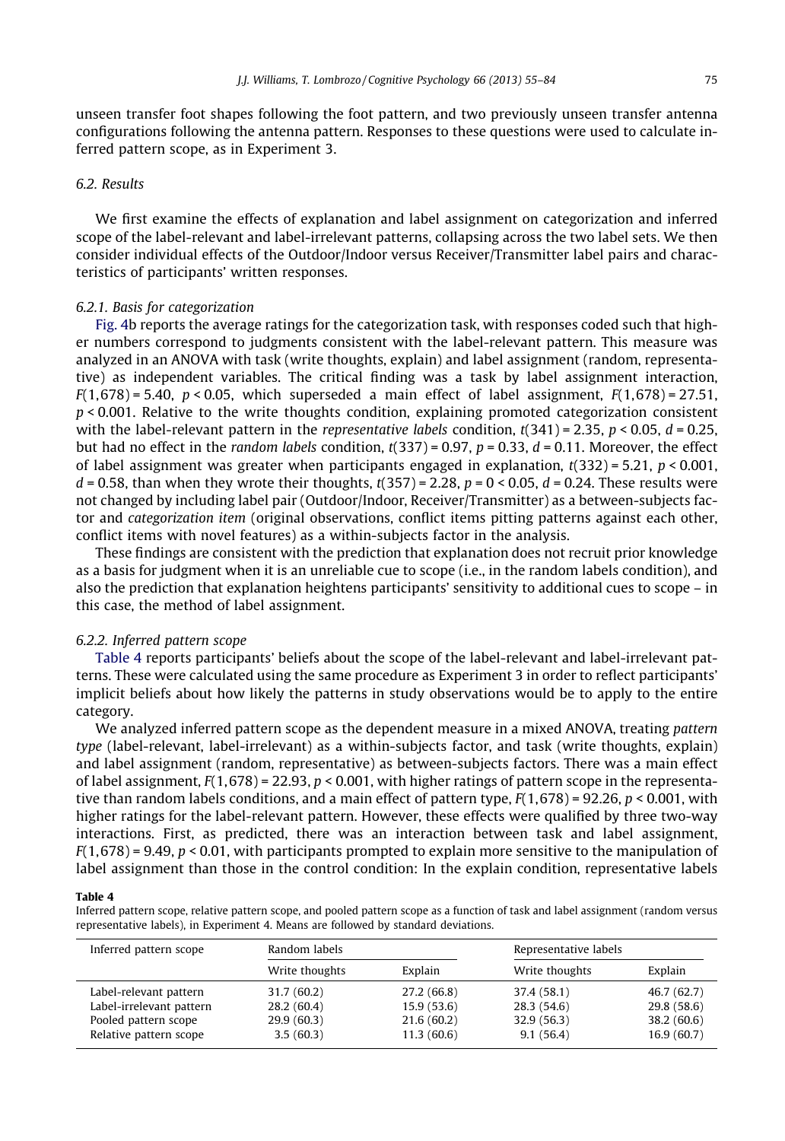<span id="page-20-0"></span>unseen transfer foot shapes following the foot pattern, and two previously unseen transfer antenna configurations following the antenna pattern. Responses to these questions were used to calculate inferred pattern scope, as in Experiment 3.

# 6.2. Results

We first examine the effects of explanation and label assignment on categorization and inferred scope of the label-relevant and label-irrelevant patterns, collapsing across the two label sets. We then consider individual effects of the Outdoor/Indoor versus Receiver/Transmitter label pairs and characteristics of participants' written responses.

# 6.2.1. Basis for categorization

[Fig. 4b](#page-16-0) reports the average ratings for the categorization task, with responses coded such that higher numbers correspond to judgments consistent with the label-relevant pattern. This measure was analyzed in an ANOVA with task (write thoughts, explain) and label assignment (random, representative) as independent variables. The critical finding was a task by label assignment interaction,  $F(1,678) = 5.40$ ,  $p < 0.05$ , which superseded a main effect of label assignment,  $F(1,678) = 27.51$ ,  $p < 0.001$ . Relative to the write thoughts condition, explaining promoted categorization consistent with the label-relevant pattern in the representative labels condition,  $t(341) = 2.35$ ,  $p < 0.05$ ,  $d = 0.25$ , but had no effect in the random labels condition,  $t(337) = 0.97$ ,  $p = 0.33$ ,  $d = 0.11$ . Moreover, the effect of label assignment was greater when participants engaged in explanation,  $t(332) = 5.21$ ,  $p < 0.001$ ,  $d = 0.58$ , than when they wrote their thoughts,  $t(357) = 2.28$ ,  $p = 0 \lt 0.05$ ,  $d = 0.24$ . These results were not changed by including label pair (Outdoor/Indoor, Receiver/Transmitter) as a between-subjects factor and categorization item (original observations, conflict items pitting patterns against each other, conflict items with novel features) as a within-subjects factor in the analysis.

These findings are consistent with the prediction that explanation does not recruit prior knowledge as a basis for judgment when it is an unreliable cue to scope (i.e., in the random labels condition), and also the prediction that explanation heightens participants' sensitivity to additional cues to scope – in this case, the method of label assignment.

#### 6.2.2. Inferred pattern scope

Table 4 reports participants' beliefs about the scope of the label-relevant and label-irrelevant patterns. These were calculated using the same procedure as Experiment 3 in order to reflect participants' implicit beliefs about how likely the patterns in study observations would be to apply to the entire category.

We analyzed inferred pattern scope as the dependent measure in a mixed ANOVA, treating *pattern* type (label-relevant, label-irrelevant) as a within-subjects factor, and task (write thoughts, explain) and label assignment (random, representative) as between-subjects factors. There was a main effect of label assignment,  $F(1,678) = 22.93$ ,  $p < 0.001$ , with higher ratings of pattern scope in the representative than random labels conditions, and a main effect of pattern type,  $F(1,678) = 92.26$ ,  $p < 0.001$ , with higher ratings for the label-relevant pattern. However, these effects were qualified by three two-way interactions. First, as predicted, there was an interaction between task and label assignment,  $F(1,678) = 9.49$ ,  $p < 0.01$ , with participants prompted to explain more sensitive to the manipulation of label assignment than those in the control condition: In the explain condition, representative labels

#### Table 4

Inferred pattern scope, relative pattern scope, and pooled pattern scope as a function of task and label assignment (random versus representative labels), in Experiment 4. Means are followed by standard deviations.

| Inferred pattern scope   | Random labels  |             |                | Representative labels |  |
|--------------------------|----------------|-------------|----------------|-----------------------|--|
|                          | Write thoughts | Explain     | Write thoughts | Explain               |  |
| Label-relevant pattern   | 31.7 (60.2)    | 27.2 (66.8) | 37.4 (58.1)    | 46.7 (62.7)           |  |
| Label-irrelevant pattern | 28.2(60.4)     | 15.9 (53.6) | 28.3(54.6)     | 29.8 (58.6)           |  |
| Pooled pattern scope     | 29.9(60.3)     | 21.6(60.2)  | 32.9 (56.3)    | 38.2(60.6)            |  |
| Relative pattern scope   | 3.5(60.3)      | 11.3 (60.6) | 9.1(56.4)      | 16.9(60.7)            |  |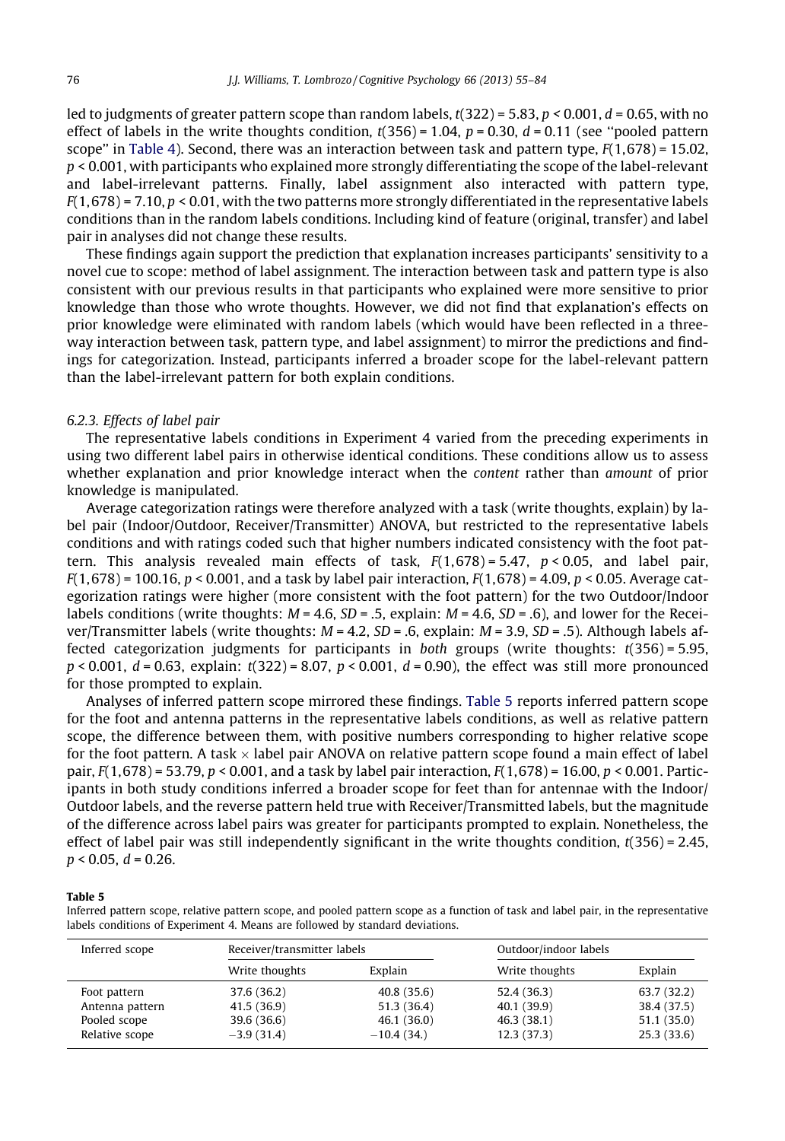led to judgments of greater pattern scope than random labels,  $t(322) = 5.83$ ,  $p < 0.001$ ,  $d = 0.65$ , with no effect of labels in the write thoughts condition,  $t(356) = 1.04$ ,  $p = 0.30$ ,  $d = 0.11$  (see "pooled pattern scope" in [Table 4\)](#page-20-0). Second, there was an interaction between task and pattern type,  $F(1,678) = 15.02$ ,  $p$  < 0.001, with participants who explained more strongly differentiating the scope of the label-relevant and label-irrelevant patterns. Finally, label assignment also interacted with pattern type,  $F(1,678)$  = 7.10,  $p < 0.01$ , with the two patterns more strongly differentiated in the representative labels conditions than in the random labels conditions. Including kind of feature (original, transfer) and label pair in analyses did not change these results.

These findings again support the prediction that explanation increases participants' sensitivity to a novel cue to scope: method of label assignment. The interaction between task and pattern type is also consistent with our previous results in that participants who explained were more sensitive to prior knowledge than those who wrote thoughts. However, we did not find that explanation's effects on prior knowledge were eliminated with random labels (which would have been reflected in a threeway interaction between task, pattern type, and label assignment) to mirror the predictions and findings for categorization. Instead, participants inferred a broader scope for the label-relevant pattern than the label-irrelevant pattern for both explain conditions.

#### 6.2.3. Effects of label pair

The representative labels conditions in Experiment 4 varied from the preceding experiments in using two different label pairs in otherwise identical conditions. These conditions allow us to assess whether explanation and prior knowledge interact when the *content* rather than *amount* of prior knowledge is manipulated.

Average categorization ratings were therefore analyzed with a task (write thoughts, explain) by label pair (Indoor/Outdoor, Receiver/Transmitter) ANOVA, but restricted to the representative labels conditions and with ratings coded such that higher numbers indicated consistency with the foot pattern. This analysis revealed main effects of task,  $F(1,678) = 5.47$ ,  $p < 0.05$ , and label pair,  $F(1,678) = 100.16$ ,  $p < 0.001$ , and a task by label pair interaction,  $F(1,678) = 4.09$ ,  $p < 0.05$ . Average categorization ratings were higher (more consistent with the foot pattern) for the two Outdoor/Indoor labels conditions (write thoughts:  $M = 4.6$ ,  $SD = .5$ , explain:  $M = 4.6$ ,  $SD = .6$ ), and lower for the Receiver/Transmitter labels (write thoughts:  $M = 4.2$ ,  $SD = .6$ , explain:  $M = 3.9$ ,  $SD = .5$ ). Although labels affected categorization judgments for participants in both groups (write thoughts:  $t(356) = 5.95$ ,  $p < 0.001$ ,  $d = 0.63$ , explain:  $t(322) = 8.07$ ,  $p < 0.001$ ,  $d = 0.90$ ), the effect was still more pronounced for those prompted to explain.

Analyses of inferred pattern scope mirrored these findings. Table 5 reports inferred pattern scope for the foot and antenna patterns in the representative labels conditions, as well as relative pattern scope, the difference between them, with positive numbers corresponding to higher relative scope for the foot pattern. A task  $\times$  label pair ANOVA on relative pattern scope found a main effect of label pair,  $F(1,678) = 53.79$ ,  $p < 0.001$ , and a task by label pair interaction,  $F(1,678) = 16.00$ ,  $p < 0.001$ . Participants in both study conditions inferred a broader scope for feet than for antennae with the Indoor/ Outdoor labels, and the reverse pattern held true with Receiver/Transmitted labels, but the magnitude of the difference across label pairs was greater for participants prompted to explain. Nonetheless, the effect of label pair was still independently significant in the write thoughts condition,  $t(356) = 2.45$ ,  $p < 0.05$ ,  $d = 0.26$ .

#### Table 5

Inferred pattern scope, relative pattern scope, and pooled pattern scope as a function of task and label pair, in the representative labels conditions of Experiment 4. Means are followed by standard deviations.

| Inferred scope  |                | Receiver/transmitter labels |                | Outdoor/indoor labels |
|-----------------|----------------|-----------------------------|----------------|-----------------------|
|                 | Write thoughts | Explain                     | Write thoughts | Explain               |
| Foot pattern    | 37.6 (36.2)    | 40.8(35.6)                  | 52.4 (36.3)    | 63.7(32.2)            |
| Antenna pattern | 41.5(36.9)     | 51.3 (36.4)                 | 40.1 (39.9)    | 38.4 (37.5)           |
| Pooled scope    | 39.6(36.6)     | 46.1 (36.0)                 | 46.3(38.1)     | 51.1 (35.0)           |
| Relative scope  | $-3.9(31.4)$   | $-10.4(34)$                 | 12.3(37.3)     | 25.3(33.6)            |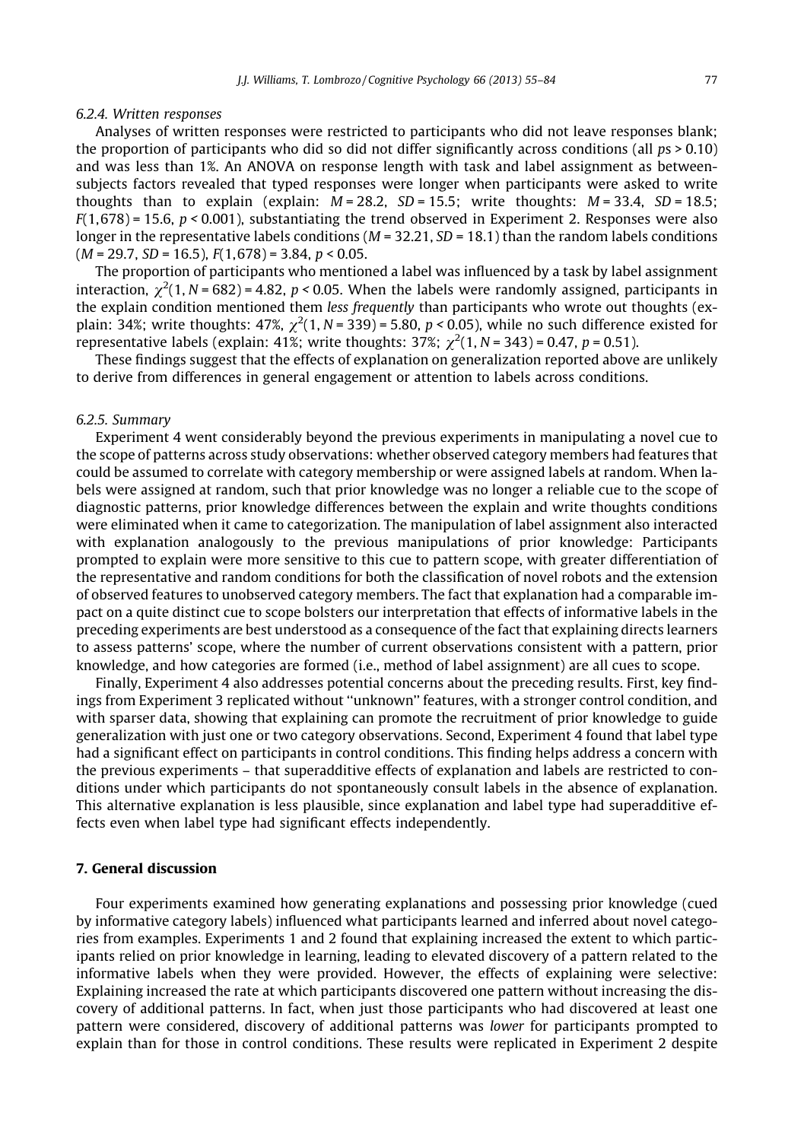#### 6.2.4. Written responses

Analyses of written responses were restricted to participants who did not leave responses blank; the proportion of participants who did so did not differ significantly across conditions (all  $ps > 0.10$ ) and was less than 1%. An ANOVA on response length with task and label assignment as betweensubjects factors revealed that typed responses were longer when participants were asked to write thoughts than to explain (explain:  $M = 28.2$ ,  $SD = 15.5$ ; write thoughts:  $M = 33.4$ ,  $SD = 18.5$ ;  $F(1,678) = 15.6$ ,  $p < 0.001$ ), substantiating the trend observed in Experiment 2. Responses were also longer in the representative labels conditions ( $M = 32.21$ ,  $SD = 18.1$ ) than the random labels conditions  $(M = 29.7, SD = 16.5), F(1,678) = 3.84, p < 0.05.$ 

The proportion of participants who mentioned a label was influenced by a task by label assignment interaction,  $\chi^2(1, N = 682) = 4.82$ ,  $p < 0.05$ . When the labels were randomly assigned, participants in the explain condition mentioned them less frequently than participants who wrote out thoughts (explain: 34%; write thoughts: 47%,  $\chi^2(1, N = 339) = 5.80$ , p < 0.05), while no such difference existed for representative labels (explain: 41%; write thoughts: 37%;  $\chi^2(1, N = 343) = 0.47$ , p = 0.51).

These findings suggest that the effects of explanation on generalization reported above are unlikely to derive from differences in general engagement or attention to labels across conditions.

# 6.2.5. Summary

Experiment 4 went considerably beyond the previous experiments in manipulating a novel cue to the scope of patterns across study observations: whether observed category members had features that could be assumed to correlate with category membership or were assigned labels at random. When labels were assigned at random, such that prior knowledge was no longer a reliable cue to the scope of diagnostic patterns, prior knowledge differences between the explain and write thoughts conditions were eliminated when it came to categorization. The manipulation of label assignment also interacted with explanation analogously to the previous manipulations of prior knowledge: Participants prompted to explain were more sensitive to this cue to pattern scope, with greater differentiation of the representative and random conditions for both the classification of novel robots and the extension of observed features to unobserved category members. The fact that explanation had a comparable impact on a quite distinct cue to scope bolsters our interpretation that effects of informative labels in the preceding experiments are best understood as a consequence of the fact that explaining directs learners to assess patterns' scope, where the number of current observations consistent with a pattern, prior knowledge, and how categories are formed (i.e., method of label assignment) are all cues to scope.

Finally, Experiment 4 also addresses potential concerns about the preceding results. First, key findings from Experiment 3 replicated without ''unknown'' features, with a stronger control condition, and with sparser data, showing that explaining can promote the recruitment of prior knowledge to guide generalization with just one or two category observations. Second, Experiment 4 found that label type had a significant effect on participants in control conditions. This finding helps address a concern with the previous experiments – that superadditive effects of explanation and labels are restricted to conditions under which participants do not spontaneously consult labels in the absence of explanation. This alternative explanation is less plausible, since explanation and label type had superadditive effects even when label type had significant effects independently.

# 7. General discussion

Four experiments examined how generating explanations and possessing prior knowledge (cued by informative category labels) influenced what participants learned and inferred about novel categories from examples. Experiments 1 and 2 found that explaining increased the extent to which participants relied on prior knowledge in learning, leading to elevated discovery of a pattern related to the informative labels when they were provided. However, the effects of explaining were selective: Explaining increased the rate at which participants discovered one pattern without increasing the discovery of additional patterns. In fact, when just those participants who had discovered at least one pattern were considered, discovery of additional patterns was lower for participants prompted to explain than for those in control conditions. These results were replicated in Experiment 2 despite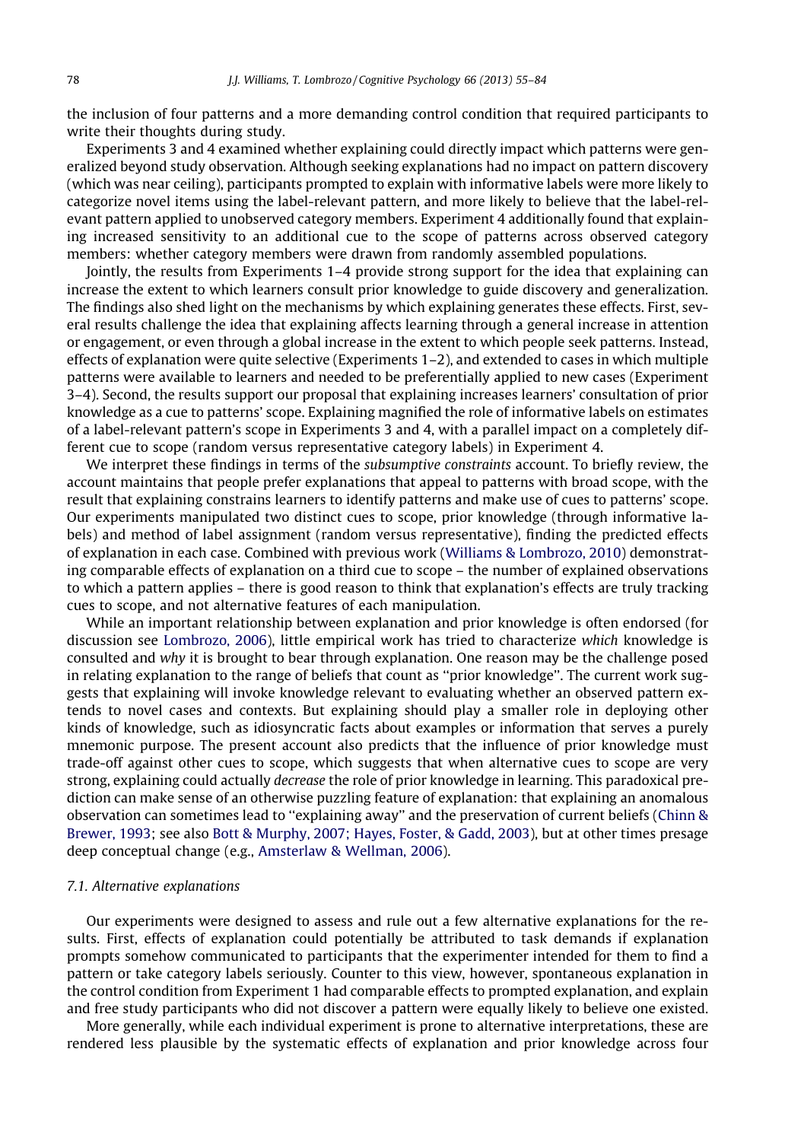the inclusion of four patterns and a more demanding control condition that required participants to write their thoughts during study.

Experiments 3 and 4 examined whether explaining could directly impact which patterns were generalized beyond study observation. Although seeking explanations had no impact on pattern discovery (which was near ceiling), participants prompted to explain with informative labels were more likely to categorize novel items using the label-relevant pattern, and more likely to believe that the label-relevant pattern applied to unobserved category members. Experiment 4 additionally found that explaining increased sensitivity to an additional cue to the scope of patterns across observed category members: whether category members were drawn from randomly assembled populations.

Jointly, the results from Experiments 1–4 provide strong support for the idea that explaining can increase the extent to which learners consult prior knowledge to guide discovery and generalization. The findings also shed light on the mechanisms by which explaining generates these effects. First, several results challenge the idea that explaining affects learning through a general increase in attention or engagement, or even through a global increase in the extent to which people seek patterns. Instead, effects of explanation were quite selective (Experiments 1–2), and extended to cases in which multiple patterns were available to learners and needed to be preferentially applied to new cases (Experiment 3–4). Second, the results support our proposal that explaining increases learners' consultation of prior knowledge as a cue to patterns' scope. Explaining magnified the role of informative labels on estimates of a label-relevant pattern's scope in Experiments 3 and 4, with a parallel impact on a completely different cue to scope (random versus representative category labels) in Experiment 4.

We interpret these findings in terms of the *subsumptive constraints* account. To briefly review, the account maintains that people prefer explanations that appeal to patterns with broad scope, with the result that explaining constrains learners to identify patterns and make use of cues to patterns' scope. Our experiments manipulated two distinct cues to scope, prior knowledge (through informative labels) and method of label assignment (random versus representative), finding the predicted effects of explanation in each case. Combined with previous work ([Williams & Lombrozo, 2010](#page-29-0)) demonstrating comparable effects of explanation on a third cue to scope – the number of explained observations to which a pattern applies – there is good reason to think that explanation's effects are truly tracking cues to scope, and not alternative features of each manipulation.

While an important relationship between explanation and prior knowledge is often endorsed (for discussion see [Lombrozo, 2006](#page-28-0)), little empirical work has tried to characterize which knowledge is consulted and why it is brought to bear through explanation. One reason may be the challenge posed in relating explanation to the range of beliefs that count as ''prior knowledge''. The current work suggests that explaining will invoke knowledge relevant to evaluating whether an observed pattern extends to novel cases and contexts. But explaining should play a smaller role in deploying other kinds of knowledge, such as idiosyncratic facts about examples or information that serves a purely mnemonic purpose. The present account also predicts that the influence of prior knowledge must trade-off against other cues to scope, which suggests that when alternative cues to scope are very strong, explaining could actually decrease the role of prior knowledge in learning. This paradoxical prediction can make sense of an otherwise puzzling feature of explanation: that explaining an anomalous observation can sometimes lead to ''explaining away'' and the preservation of current beliefs [\(Chinn &](#page-27-0) [Brewer, 1993](#page-27-0); see also [Bott & Murphy, 2007; Hayes, Foster, & Gadd, 2003\)](#page-27-0), but at other times presage deep conceptual change (e.g., [Amsterlaw & Wellman, 2006\)](#page-27-0).

# 7.1. Alternative explanations

Our experiments were designed to assess and rule out a few alternative explanations for the results. First, effects of explanation could potentially be attributed to task demands if explanation prompts somehow communicated to participants that the experimenter intended for them to find a pattern or take category labels seriously. Counter to this view, however, spontaneous explanation in the control condition from Experiment 1 had comparable effects to prompted explanation, and explain and free study participants who did not discover a pattern were equally likely to believe one existed.

More generally, while each individual experiment is prone to alternative interpretations, these are rendered less plausible by the systematic effects of explanation and prior knowledge across four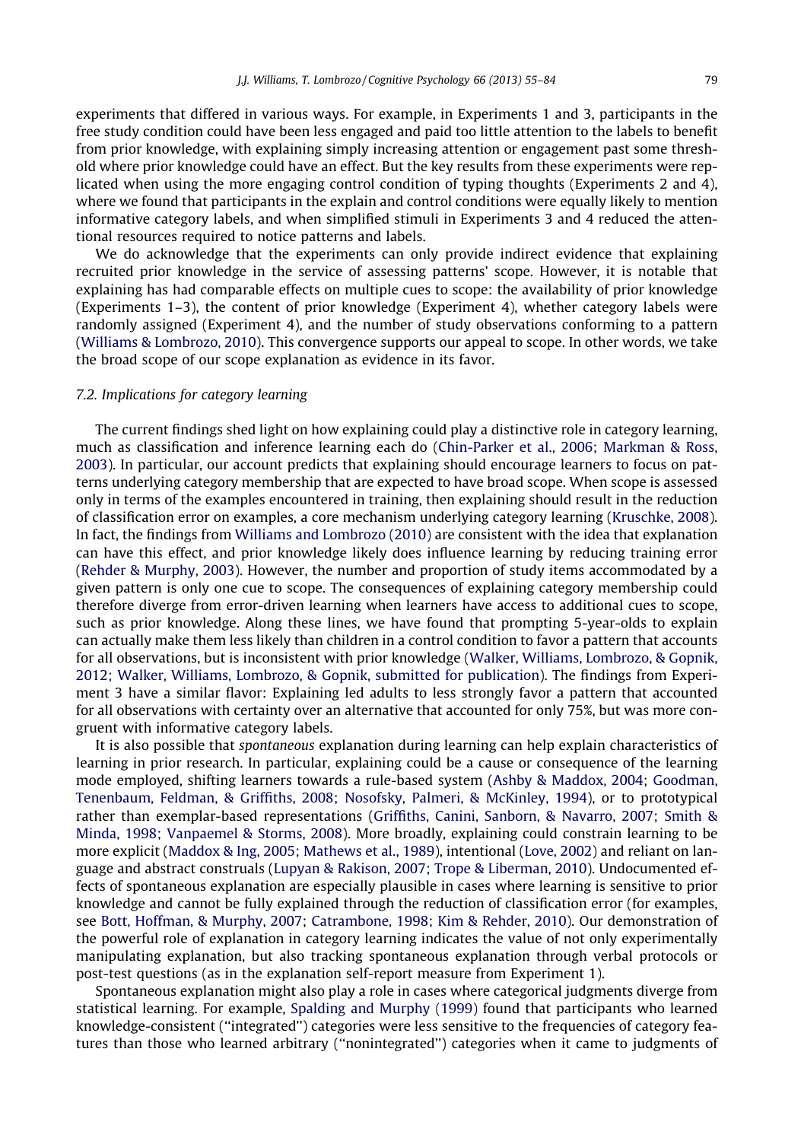experiments that differed in various ways. For example, in Experiments 1 and 3, participants in the free study condition could have been less engaged and paid too little attention to the labels to benefit from prior knowledge, with explaining simply increasing attention or engagement past some threshold where prior knowledge could have an effect. But the key results from these experiments were replicated when using the more engaging control condition of typing thoughts (Experiments 2 and 4), where we found that participants in the explain and control conditions were equally likely to mention informative category labels, and when simplified stimuli in Experiments 3 and 4 reduced the attentional resources required to notice patterns and labels.

We do acknowledge that the experiments can only provide indirect evidence that explaining recruited prior knowledge in the service of assessing patterns' scope. However, it is notable that explaining has had comparable effects on multiple cues to scope: the availability of prior knowledge (Experiments 1–3), the content of prior knowledge (Experiment 4), whether category labels were randomly assigned (Experiment 4), and the number of study observations conforming to a pattern [\(Williams & Lombrozo, 2010\)](#page-29-0). This convergence supports our appeal to scope. In other words, we take the broad scope of our scope explanation as evidence in its favor.

#### 7.2. Implications for category learning

The current findings shed light on how explaining could play a distinctive role in category learning, much as classification and inference learning each do [\(Chin-Parker et al., 2006; Markman & Ross,](#page-27-0) [2003](#page-27-0)). In particular, our account predicts that explaining should encourage learners to focus on patterns underlying category membership that are expected to have broad scope. When scope is assessed only in terms of the examples encountered in training, then explaining should result in the reduction of classification error on examples, a core mechanism underlying category learning [\(Kruschke, 2008\)](#page-28-0). In fact, the findings from [Williams and Lombrozo \(2010\)](#page-29-0) are consistent with the idea that explanation can have this effect, and prior knowledge likely does influence learning by reducing training error [\(Rehder & Murphy, 2003\)](#page-29-0). However, the number and proportion of study items accommodated by a given pattern is only one cue to scope. The consequences of explaining category membership could therefore diverge from error-driven learning when learners have access to additional cues to scope, such as prior knowledge. Along these lines, we have found that prompting 5-year-olds to explain can actually make them less likely than children in a control condition to favor a pattern that accounts for all observations, but is inconsistent with prior knowledge [\(Walker, Williams, Lombrozo, & Gopnik,](#page-29-0) [2012; Walker, Williams, Lombrozo, & Gopnik, submitted for publication\)](#page-29-0). The findings from Experiment 3 have a similar flavor: Explaining led adults to less strongly favor a pattern that accounted for all observations with certainty over an alternative that accounted for only 75%, but was more congruent with informative category labels.

It is also possible that spontaneous explanation during learning can help explain characteristics of learning in prior research. In particular, explaining could be a cause or consequence of the learning mode employed, shifting learners towards a rule-based system [\(Ashby & Maddox, 2004;](#page-27-0) [Goodman,](#page-27-0) [Tenenbaum, Feldman, & Griffiths, 2008; Nosofsky, Palmeri, & McKinley, 1994](#page-27-0)), or to prototypical rather than exemplar-based representations ([Griffiths, Canini, Sanborn, & Navarro, 2007; Smith &](#page-28-0) [Minda, 1998; Vanpaemel & Storms, 2008](#page-28-0)). More broadly, explaining could constrain learning to be more explicit [\(Maddox & Ing, 2005; Mathews et al., 1989](#page-28-0)), intentional ([Love, 2002](#page-28-0)) and reliant on language and abstract construals [\(Lupyan & Rakison, 2007; Trope & Liberman, 2010\)](#page-28-0). Undocumented effects of spontaneous explanation are especially plausible in cases where learning is sensitive to prior knowledge and cannot be fully explained through the reduction of classification error (for examples, see [Bott, Hoffman, & Murphy, 2007](#page-27-0); [Catrambone, 1998; Kim & Rehder, 2010\)](#page-27-0). Our demonstration of the powerful role of explanation in category learning indicates the value of not only experimentally manipulating explanation, but also tracking spontaneous explanation through verbal protocols or post-test questions (as in the explanation self-report measure from Experiment 1).

Spontaneous explanation might also play a role in cases where categorical judgments diverge from statistical learning. For example, [Spalding and Murphy \(1999\)](#page-29-0) found that participants who learned knowledge-consistent (''integrated'') categories were less sensitive to the frequencies of category features than those who learned arbitrary (''nonintegrated'') categories when it came to judgments of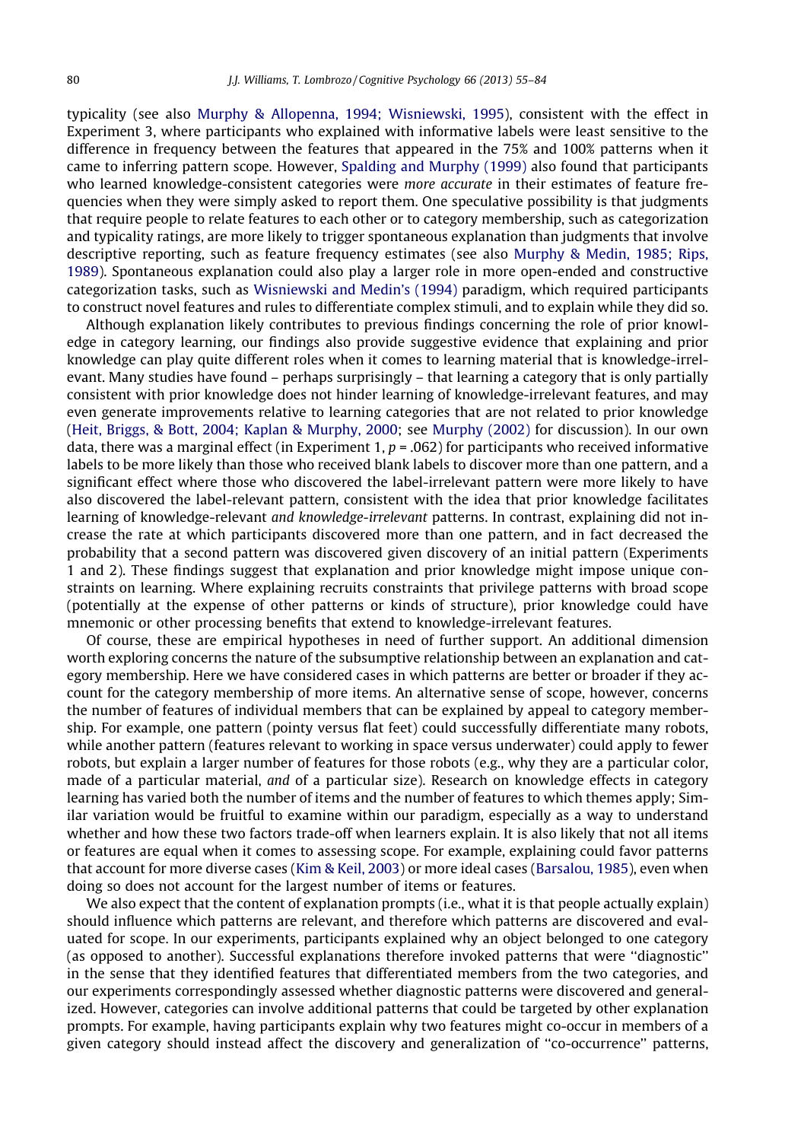typicality (see also [Murphy & Allopenna, 1994; Wisniewski, 1995\)](#page-28-0), consistent with the effect in Experiment 3, where participants who explained with informative labels were least sensitive to the difference in frequency between the features that appeared in the 75% and 100% patterns when it came to inferring pattern scope. However, [Spalding and Murphy \(1999\)](#page-29-0) also found that participants who learned knowledge-consistent categories were more accurate in their estimates of feature frequencies when they were simply asked to report them. One speculative possibility is that judgments that require people to relate features to each other or to category membership, such as categorization and typicality ratings, are more likely to trigger spontaneous explanation than judgments that involve descriptive reporting, such as feature frequency estimates (see also [Murphy & Medin, 1985; Rips,](#page-28-0) [1989\)](#page-28-0). Spontaneous explanation could also play a larger role in more open-ended and constructive categorization tasks, such as [Wisniewski and Medin's \(1994\)](#page-29-0) paradigm, which required participants to construct novel features and rules to differentiate complex stimuli, and to explain while they did so.

Although explanation likely contributes to previous findings concerning the role of prior knowledge in category learning, our findings also provide suggestive evidence that explaining and prior knowledge can play quite different roles when it comes to learning material that is knowledge-irrelevant. Many studies have found – perhaps surprisingly – that learning a category that is only partially consistent with prior knowledge does not hinder learning of knowledge-irrelevant features, and may even generate improvements relative to learning categories that are not related to prior knowledge ([Heit, Briggs, & Bott, 2004; Kaplan & Murphy, 2000](#page-28-0); see [Murphy \(2002\)](#page-28-0) for discussion). In our own data, there was a marginal effect (in Experiment 1,  $p = .062$ ) for participants who received informative labels to be more likely than those who received blank labels to discover more than one pattern, and a significant effect where those who discovered the label-irrelevant pattern were more likely to have also discovered the label-relevant pattern, consistent with the idea that prior knowledge facilitates learning of knowledge-relevant and knowledge-irrelevant patterns. In contrast, explaining did not increase the rate at which participants discovered more than one pattern, and in fact decreased the probability that a second pattern was discovered given discovery of an initial pattern (Experiments 1 and 2). These findings suggest that explanation and prior knowledge might impose unique constraints on learning. Where explaining recruits constraints that privilege patterns with broad scope (potentially at the expense of other patterns or kinds of structure), prior knowledge could have mnemonic or other processing benefits that extend to knowledge-irrelevant features.

Of course, these are empirical hypotheses in need of further support. An additional dimension worth exploring concerns the nature of the subsumptive relationship between an explanation and category membership. Here we have considered cases in which patterns are better or broader if they account for the category membership of more items. An alternative sense of scope, however, concerns the number of features of individual members that can be explained by appeal to category membership. For example, one pattern (pointy versus flat feet) could successfully differentiate many robots, while another pattern (features relevant to working in space versus underwater) could apply to fewer robots, but explain a larger number of features for those robots (e.g., why they are a particular color, made of a particular material, and of a particular size). Research on knowledge effects in category learning has varied both the number of items and the number of features to which themes apply; Similar variation would be fruitful to examine within our paradigm, especially as a way to understand whether and how these two factors trade-off when learners explain. It is also likely that not all items or features are equal when it comes to assessing scope. For example, explaining could favor patterns that account for more diverse cases [\(Kim & Keil, 2003](#page-28-0)) or more ideal cases ([Barsalou, 1985\)](#page-27-0), even when doing so does not account for the largest number of items or features.

We also expect that the content of explanation prompts (i.e., what it is that people actually explain) should influence which patterns are relevant, and therefore which patterns are discovered and evaluated for scope. In our experiments, participants explained why an object belonged to one category (as opposed to another). Successful explanations therefore invoked patterns that were ''diagnostic'' in the sense that they identified features that differentiated members from the two categories, and our experiments correspondingly assessed whether diagnostic patterns were discovered and generalized. However, categories can involve additional patterns that could be targeted by other explanation prompts. For example, having participants explain why two features might co-occur in members of a given category should instead affect the discovery and generalization of ''co-occurrence'' patterns,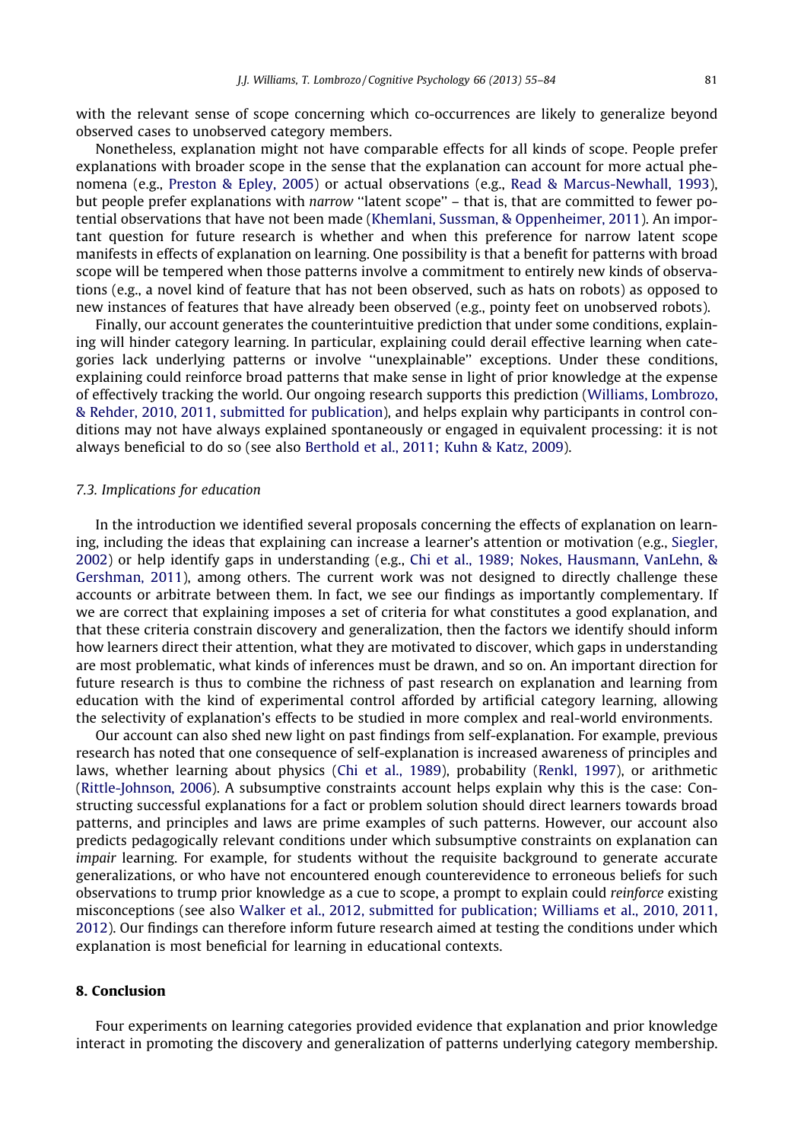with the relevant sense of scope concerning which co-occurrences are likely to generalize beyond observed cases to unobserved category members.

Nonetheless, explanation might not have comparable effects for all kinds of scope. People prefer explanations with broader scope in the sense that the explanation can account for more actual phenomena (e.g., [Preston & Epley, 2005](#page-28-0)) or actual observations (e.g., [Read & Marcus-Newhall, 1993](#page-28-0)), but people prefer explanations with *narrow* "latent scope" – that is, that are committed to fewer potential observations that have not been made ([Khemlani, Sussman, & Oppenheimer, 2011](#page-28-0)). An important question for future research is whether and when this preference for narrow latent scope manifests in effects of explanation on learning. One possibility is that a benefit for patterns with broad scope will be tempered when those patterns involve a commitment to entirely new kinds of observations (e.g., a novel kind of feature that has not been observed, such as hats on robots) as opposed to new instances of features that have already been observed (e.g., pointy feet on unobserved robots).

Finally, our account generates the counterintuitive prediction that under some conditions, explaining will hinder category learning. In particular, explaining could derail effective learning when categories lack underlying patterns or involve ''unexplainable'' exceptions. Under these conditions, explaining could reinforce broad patterns that make sense in light of prior knowledge at the expense of effectively tracking the world. Our ongoing research supports this prediction [\(Williams, Lombrozo,](#page-29-0) [& Rehder, 2010, 2011, submitted for publication](#page-29-0)), and helps explain why participants in control conditions may not have always explained spontaneously or engaged in equivalent processing: it is not always beneficial to do so (see also [Berthold et al., 2011; Kuhn & Katz, 2009\)](#page-27-0).

#### 7.3. Implications for education

In the introduction we identified several proposals concerning the effects of explanation on learning, including the ideas that explaining can increase a learner's attention or motivation (e.g., [Siegler,](#page-29-0) [2002](#page-29-0)) or help identify gaps in understanding (e.g., [Chi et al., 1989; Nokes, Hausmann, VanLehn, &](#page-27-0) [Gershman, 2011\)](#page-27-0), among others. The current work was not designed to directly challenge these accounts or arbitrate between them. In fact, we see our findings as importantly complementary. If we are correct that explaining imposes a set of criteria for what constitutes a good explanation, and that these criteria constrain discovery and generalization, then the factors we identify should inform how learners direct their attention, what they are motivated to discover, which gaps in understanding are most problematic, what kinds of inferences must be drawn, and so on. An important direction for future research is thus to combine the richness of past research on explanation and learning from education with the kind of experimental control afforded by artificial category learning, allowing the selectivity of explanation's effects to be studied in more complex and real-world environments.

Our account can also shed new light on past findings from self-explanation. For example, previous research has noted that one consequence of self-explanation is increased awareness of principles and laws, whether learning about physics [\(Chi et al., 1989](#page-27-0)), probability [\(Renkl, 1997](#page-29-0)), or arithmetic [\(Rittle-Johnson, 2006](#page-29-0)). A subsumptive constraints account helps explain why this is the case: Constructing successful explanations for a fact or problem solution should direct learners towards broad patterns, and principles and laws are prime examples of such patterns. However, our account also predicts pedagogically relevant conditions under which subsumptive constraints on explanation can impair learning. For example, for students without the requisite background to generate accurate generalizations, or who have not encountered enough counterevidence to erroneous beliefs for such observations to trump prior knowledge as a cue to scope, a prompt to explain could reinforce existing misconceptions (see also [Walker et al., 2012, submitted for publication; Williams et al., 2010, 2011,](#page-29-0) [2012](#page-29-0)). Our findings can therefore inform future research aimed at testing the conditions under which explanation is most beneficial for learning in educational contexts.

# 8. Conclusion

Four experiments on learning categories provided evidence that explanation and prior knowledge interact in promoting the discovery and generalization of patterns underlying category membership.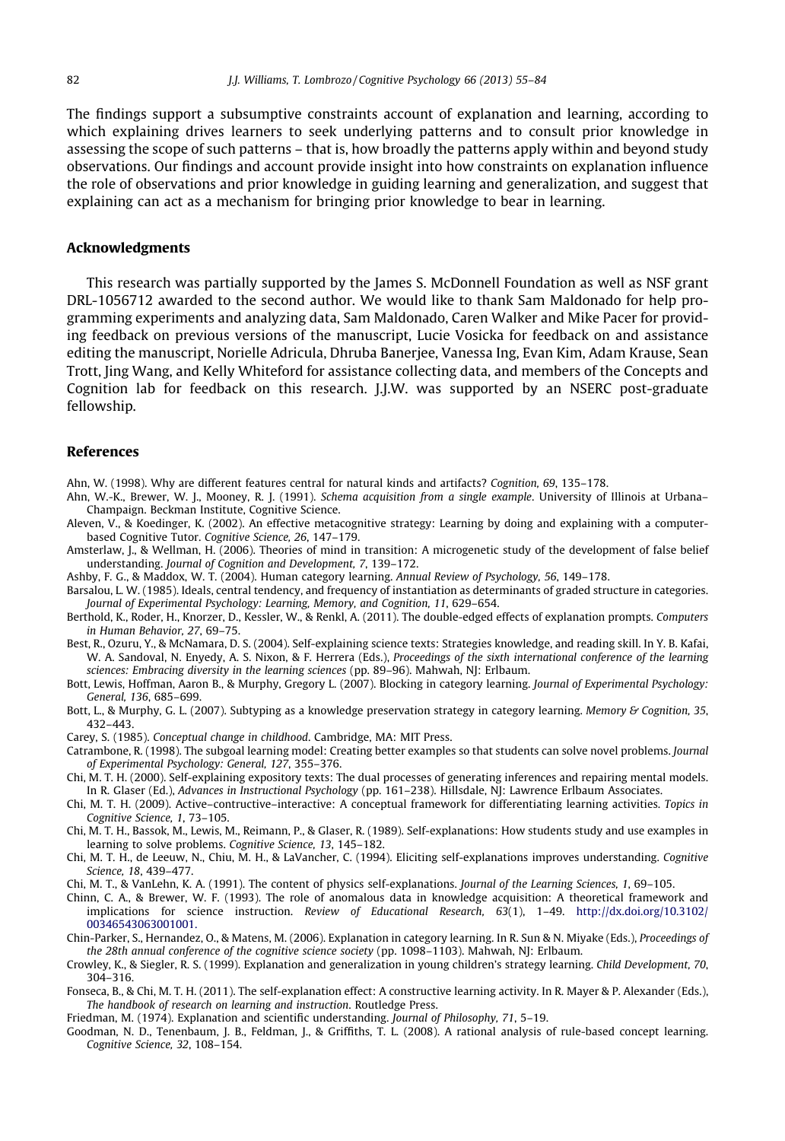<span id="page-27-0"></span>The findings support a subsumptive constraints account of explanation and learning, according to which explaining drives learners to seek underlying patterns and to consult prior knowledge in assessing the scope of such patterns – that is, how broadly the patterns apply within and beyond study observations. Our findings and account provide insight into how constraints on explanation influence the role of observations and prior knowledge in guiding learning and generalization, and suggest that explaining can act as a mechanism for bringing prior knowledge to bear in learning.

#### Acknowledgments

This research was partially supported by the James S. McDonnell Foundation as well as NSF grant DRL-1056712 awarded to the second author. We would like to thank Sam Maldonado for help programming experiments and analyzing data, Sam Maldonado, Caren Walker and Mike Pacer for providing feedback on previous versions of the manuscript, Lucie Vosicka for feedback on and assistance editing the manuscript, Norielle Adricula, Dhruba Banerjee, Vanessa Ing, Evan Kim, Adam Krause, Sean Trott, Jing Wang, and Kelly Whiteford for assistance collecting data, and members of the Concepts and Cognition lab for feedback on this research. J.J.W. was supported by an NSERC post-graduate fellowship.

# References

Ahn, W. (1998). Why are different features central for natural kinds and artifacts? Cognition, 69, 135–178.

- Ahn, W.-K., Brewer, W. J., Mooney, R. J. (1991). Schema acquisition from a single example. University of Illinois at Urbana– Champaign. Beckman Institute, Cognitive Science.
- Aleven, V., & Koedinger, K. (2002). An effective metacognitive strategy: Learning by doing and explaining with a computerbased Cognitive Tutor. Cognitive Science, 26, 147–179.
- Amsterlaw, J., & Wellman, H. (2006). Theories of mind in transition: A microgenetic study of the development of false belief understanding. Journal of Cognition and Development, 7, 139–172.
- Ashby, F. G., & Maddox, W. T. (2004). Human category learning. Annual Review of Psychology, 56, 149–178.
- Barsalou, L. W. (1985). Ideals, central tendency, and frequency of instantiation as determinants of graded structure in categories. Journal of Experimental Psychology: Learning, Memory, and Cognition, 11, 629–654.
- Berthold, K., Roder, H., Knorzer, D., Kessler, W., & Renkl, A. (2011). The double-edged effects of explanation prompts. Computers in Human Behavior, 27, 69–75.
- Best, R., Ozuru, Y., & McNamara, D. S. (2004). Self-explaining science texts: Strategies knowledge, and reading skill. In Y. B. Kafai, W. A. Sandoval, N. Enyedy, A. S. Nixon, & F. Herrera (Eds.), Proceedings of the sixth international conference of the learning sciences: Embracing diversity in the learning sciences (pp. 89-96). Mahwah, NJ: Erlbaum.
- Bott, Lewis, Hoffman, Aaron B., & Murphy, Gregory L. (2007). Blocking in category learning. Journal of Experimental Psychology: General, 136, 685–699.
- Bott, L., & Murphy, G. L. (2007). Subtyping as a knowledge preservation strategy in category learning. Memory & Cognition, 35, 432–443.
- Carey, S. (1985). Conceptual change in childhood. Cambridge, MA: MIT Press.
- Catrambone, R. (1998). The subgoal learning model: Creating better examples so that students can solve novel problems. Journal of Experimental Psychology: General, 127, 355–376.
- Chi, M. T. H. (2000). Self-explaining expository texts: The dual processes of generating inferences and repairing mental models. In R. Glaser (Ed.), Advances in Instructional Psychology (pp. 161–238). Hillsdale, NJ: Lawrence Erlbaum Associates.
- Chi, M. T. H. (2009). Active–contructive–interactive: A conceptual framework for differentiating learning activities. Topics in Cognitive Science, 1, 73–105.
- Chi, M. T. H., Bassok, M., Lewis, M., Reimann, P., & Glaser, R. (1989). Self-explanations: How students study and use examples in learning to solve problems. Cognitive Science, 13, 145–182.
- Chi, M. T. H., de Leeuw, N., Chiu, M. H., & LaVancher, C. (1994). Eliciting self-explanations improves understanding. Cognitive Science, 18, 439–477.
- Chi, M. T., & VanLehn, K. A. (1991). The content of physics self-explanations. Journal of the Learning Sciences, 1, 69–105.
- Chinn, C. A., & Brewer, W. F. (1993). The role of anomalous data in knowledge acquisition: A theoretical framework and implications for science instruction. Review of Educational Research, 63(1), 1–49. http://dx.doi.org/[10.3102/](http://dx.doi.org/10.3102/00346543063001001) [00346543063001001.](http://dx.doi.org/10.3102/00346543063001001)
- Chin-Parker, S., Hernandez, O., & Matens, M. (2006). Explanation in category learning. In R. Sun & N. Miyake (Eds.), Proceedings of the 28th annual conference of the cognitive science society (pp. 1098–1103). Mahwah, NJ: Erlbaum.
- Crowley, K., & Siegler, R. S. (1999). Explanation and generalization in young children's strategy learning. Child Development, 70, 304–316.
- Fonseca, B., & Chi, M. T. H. (2011). The self-explanation effect: A constructive learning activity. In R. Mayer & P. Alexander (Eds.), The handbook of research on learning and instruction. Routledge Press.
- Friedman, M. (1974). Explanation and scientific understanding. Journal of Philosophy, 71, 5–19.
- Goodman, N. D., Tenenbaum, J. B., Feldman, J., & Griffiths, T. L. (2008). A rational analysis of rule-based concept learning. Cognitive Science, 32, 108–154.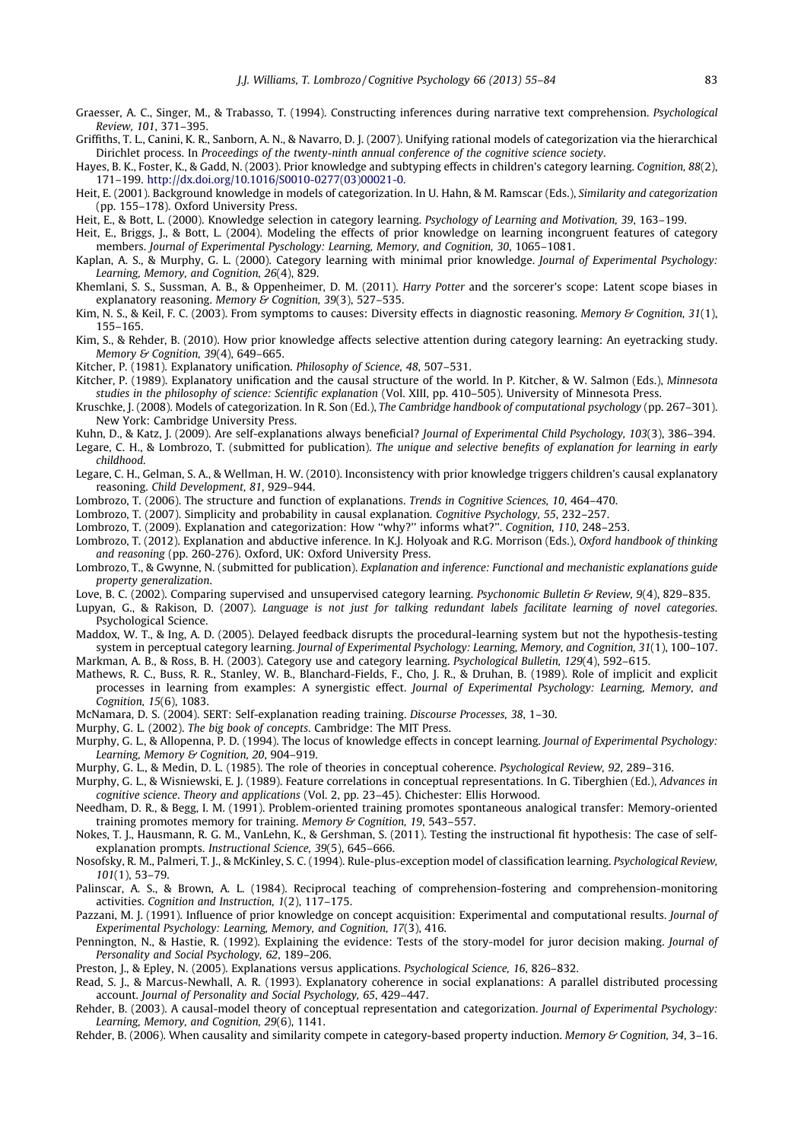- <span id="page-28-0"></span>Graesser, A. C., Singer, M., & Trabasso, T. (1994). Constructing inferences during narrative text comprehension. Psychological Review, 101, 371–395.
- Griffiths, T. L., Canini, K. R., Sanborn, A. N., & Navarro, D. J. (2007). Unifying rational models of categorization via the hierarchical Dirichlet process. In Proceedings of the twenty-ninth annual conference of the cognitive science society.
- Hayes, B. K., Foster, K., & Gadd, N. (2003). Prior knowledge and subtyping effects in children's category learning. Cognition, 88(2), 171–199. http://dx.doi.org/[10.1016/S0010-0277\(03\)00021-0.](http://dx.doi.org/10.1016/S0010-0277(03)00021-0)
- Heit, E. (2001). Background knowledge in models of categorization. In U. Hahn, & M. Ramscar (Eds.), Similarity and categorization (pp. 155–178). Oxford University Press.
- Heit, E., & Bott, L. (2000). Knowledge selection in category learning. Psychology of Learning and Motivation, 39, 163–199.
- Heit, E., Briggs, J., & Bott, L. (2004). Modeling the effects of prior knowledge on learning incongruent features of category members. Journal of Experimental Pyschology: Learning, Memory, and Cognition, 30, 1065–1081.
- Kaplan, A. S., & Murphy, G. L. (2000). Category learning with minimal prior knowledge. Journal of Experimental Psychology: Learning, Memory, and Cognition, 26(4), 829.
- Khemlani, S. S., Sussman, A. B., & Oppenheimer, D. M. (2011). Harry Potter and the sorcerer's scope: Latent scope biases in explanatory reasoning. Memory  $\hat{\sigma}$  Cognition, 39(3), 527–535.
- Kim, N. S., & Keil, F. C. (2003). From symptoms to causes: Diversity effects in diagnostic reasoning. Memory & Cognition, 31(1), 155–165.
- Kim, S., & Rehder, B. (2010). How prior knowledge affects selective attention during category learning: An eyetracking study. Memory & Cognition, 39(4), 649–665.
- Kitcher, P. (1981). Explanatory unification. Philosophy of Science, 48, 507–531.
- Kitcher, P. (1989). Explanatory unification and the causal structure of the world. In P. Kitcher, & W. Salmon (Eds.), Minnesota studies in the philosophy of science: Scientific explanation (Vol. XIII, pp. 410–505). University of Minnesota Press.
- Kruschke, J. (2008). Models of categorization. In R. Son (Ed.), The Cambridge handbook of computational psychology (pp. 267–301). New York: Cambridge University Press.
- Kuhn, D., & Katz, J. (2009). Are self-explanations always beneficial? Journal of Experimental Child Psychology, 103(3), 386–394.
- Legare, C. H., & Lombrozo, T. (submitted for publication). The unique and selective benefits of explanation for learning in early childhood.
- Legare, C. H., Gelman, S. A., & Wellman, H. W. (2010). Inconsistency with prior knowledge triggers children's causal explanatory reasoning. Child Development, 81, 929–944.
- Lombrozo, T. (2006). The structure and function of explanations. Trends in Cognitive Sciences, 10, 464–470.
- Lombrozo, T. (2007). Simplicity and probability in causal explanation. Cognitive Psychology, 55, 232–257.
- Lombrozo, T. (2009). Explanation and categorization: How ''why?'' informs what?''. Cognition, 110, 248–253.
- Lombrozo, T. (2012). Explanation and abductive inference. In K.J. Holyoak and R.G. Morrison (Eds.), Oxford handbook of thinking and reasoning (pp. 260-276). Oxford, UK: Oxford University Press.
- Lombrozo, T., & Gwynne, N. (submitted for publication). Explanation and inference: Functional and mechanistic explanations guide property generalization.
- Love, B. C. (2002). Comparing supervised and unsupervised category learning. Psychonomic Bulletin & Review, 9(4), 829-835.
- Lupyan, G., & Rakison, D. (2007). Language is not just for talking redundant labels facilitate learning of novel categories. Psychological Science.
- Maddox, W. T., & Ing, A. D. (2005). Delayed feedback disrupts the procedural-learning system but not the hypothesis-testing system in perceptual category learning. Journal of Experimental Psychology: Learning, Memory, and Cognition, 31(1), 100–107. Markman, A. B., & Ross, B. H. (2003). Category use and category learning. Psychological Bulletin, 129(4), 592–615.
- 
- Mathews, R. C., Buss, R. R., Stanley, W. B., Blanchard-Fields, F., Cho, J. R., & Druhan, B. (1989). Role of implicit and explicit processes in learning from examples: A synergistic effect. Journal of Experimental Psychology: Learning, Memory, and Cognition, 15(6), 1083.
- McNamara, D. S. (2004). SERT: Self-explanation reading training. Discourse Processes, 38, 1–30.
- Murphy, G. L. (2002). The big book of concepts. Cambridge: The MIT Press.
- Murphy, G. L., & Allopenna, P. D. (1994). The locus of knowledge effects in concept learning. Journal of Experimental Psychology: Learning, Memory & Cognition, 20, 904–919.
- Murphy, G. L., & Medin, D. L. (1985). The role of theories in conceptual coherence. Psychological Review, 92, 289–316.
- Murphy, G. L., & Wisniewski, E. J. (1989). Feature correlations in conceptual representations. In G. Tiberghien (Ed.), Advances in cognitive science. Theory and applications (Vol. 2, pp. 23–45). Chichester: Ellis Horwood.
- Needham, D. R., & Begg, I. M. (1991). Problem-oriented training promotes spontaneous analogical transfer: Memory-oriented training promotes memory for training. Memory & Cognition, 19, 543-557.
- Nokes, T. J., Hausmann, R. G. M., VanLehn, K., & Gershman, S. (2011). Testing the instructional fit hypothesis: The case of selfexplanation prompts. Instructional Science, 39(5), 645–666.
- Nosofsky, R. M., Palmeri, T. J., & McKinley, S. C. (1994). Rule-plus-exception model of classification learning. Psychological Review, 101(1), 53–79.
- Palinscar, A. S., & Brown, A. L. (1984). Reciprocal teaching of comprehension-fostering and comprehension-monitoring activities. Cognition and Instruction, 1(2), 117–175.
- Pazzani, M. J. (1991). Influence of prior knowledge on concept acquisition: Experimental and computational results. Journal of Experimental Psychology: Learning, Memory, and Cognition, 17(3), 416.
- Pennington, N., & Hastie, R. (1992). Explaining the evidence: Tests of the story-model for juror decision making. Journal of Personality and Social Psychology, 62, 189–206.
- Preston, J., & Epley, N. (2005). Explanations versus applications. Psychological Science, 16, 826–832.
- Read, S. J., & Marcus-Newhall, A. R. (1993). Explanatory coherence in social explanations: A parallel distributed processing account. Journal of Personality and Social Psychology, 65, 429–447.
- Rehder, B. (2003). A causal-model theory of conceptual representation and categorization. Journal of Experimental Psychology: Learning, Memory, and Cognition, 29(6), 1141.
- Rehder, B. (2006). When causality and similarity compete in category-based property induction. Memory & Cognition, 34, 3-16.